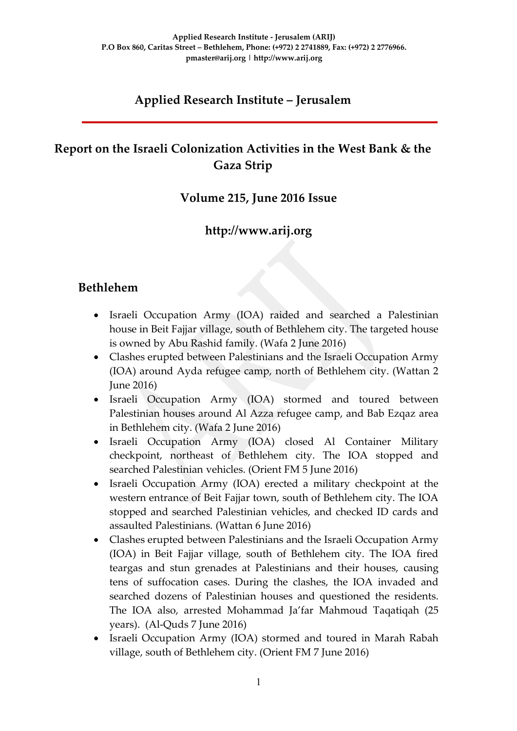# **Applied Research Institute – Jerusalem**

# **Report on the Israeli Colonization Activities in the West Bank & the Gaza Strip**

### **Volume 215, June 2016 Issue**

### **http://www.arij.org**

### **Bethlehem**

- Israeli Occupation Army (IOA) raided and searched a Palestinian house in Beit Fajjar village, south of Bethlehem city. The targeted house is owned by Abu Rashid family. (Wafa 2 June 2016)
- Clashes erupted between Palestinians and the Israeli Occupation Army (IOA) around Ayda refugee camp, north of Bethlehem city. (Wattan 2 June 2016)
- Israeli Occupation Army (IOA) stormed and toured between Palestinian houses around Al Azza refugee camp, and Bab Ezqaz area in Bethlehem city. (Wafa 2 June 2016)
- Israeli Occupation Army (IOA) closed Al Container Military checkpoint, northeast of Bethlehem city. The IOA stopped and searched Palestinian vehicles. (Orient FM 5 June 2016)
- Israeli Occupation Army (IOA) erected a military checkpoint at the western entrance of Beit Fajjar town, south of Bethlehem city. The IOA stopped and searched Palestinian vehicles, and checked ID cards and assaulted Palestinians. (Wattan 6 June 2016)
- Clashes erupted between Palestinians and the Israeli Occupation Army (IOA) in Beit Fajjar village, south of Bethlehem city. The IOA fired teargas and stun grenades at Palestinians and their houses, causing tens of suffocation cases. During the clashes, the IOA invaded and searched dozens of Palestinian houses and questioned the residents. The IOA also, arrested Mohammad Ja'far Mahmoud Taqatiqah (25 years). (Al-Quds 7 June 2016)
- Israeli Occupation Army (IOA) stormed and toured in Marah Rabah village, south of Bethlehem city. (Orient FM 7 June 2016)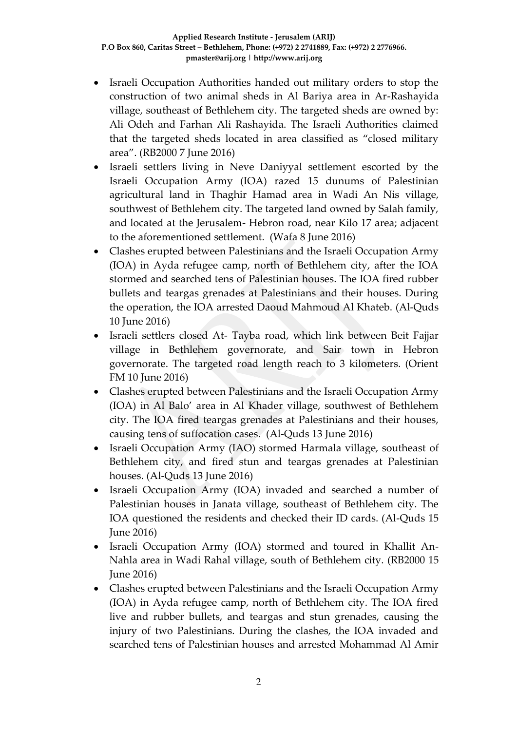- Israeli Occupation Authorities handed out military orders to stop the construction of two animal sheds in Al Bariya area in Ar-Rashayida village, southeast of Bethlehem city. The targeted sheds are owned by: Ali Odeh and Farhan Ali Rashayida. The Israeli Authorities claimed that the targeted sheds located in area classified as "closed military area". (RB2000 7 June 2016)
- Israeli settlers living in Neve Daniyyal settlement escorted by the Israeli Occupation Army (IOA) razed 15 dunums of Palestinian agricultural land in Thaghir Hamad area in Wadi An Nis village, southwest of Bethlehem city. The targeted land owned by Salah family, and located at the Jerusalem- Hebron road, near Kilo 17 area; adjacent to the aforementioned settlement. (Wafa 8 June 2016)
- Clashes erupted between Palestinians and the Israeli Occupation Army (IOA) in Ayda refugee camp, north of Bethlehem city, after the IOA stormed and searched tens of Palestinian houses. The IOA fired rubber bullets and teargas grenades at Palestinians and their houses. During the operation, the IOA arrested Daoud Mahmoud Al Khateb. (Al-Quds 10 June 2016)
- Israeli settlers closed At- Tayba road, which link between Beit Fajjar village in Bethlehem governorate, and Sair town in Hebron governorate. The targeted road length reach to 3 kilometers. (Orient FM 10 June 2016)
- Clashes erupted between Palestinians and the Israeli Occupation Army (IOA) in Al Balo' area in Al Khader village, southwest of Bethlehem city. The IOA fired teargas grenades at Palestinians and their houses, causing tens of suffocation cases. (Al-Quds 13 June 2016)
- Israeli Occupation Army (IAO) stormed Harmala village, southeast of Bethlehem city, and fired stun and teargas grenades at Palestinian houses. (Al-Quds 13 June 2016)
- Israeli Occupation Army (IOA) invaded and searched a number of Palestinian houses in Janata village, southeast of Bethlehem city. The IOA questioned the residents and checked their ID cards. (Al-Quds 15 June 2016)
- Israeli Occupation Army (IOA) stormed and toured in Khallit An-Nahla area in Wadi Rahal village, south of Bethlehem city. (RB2000 15 June 2016)
- Clashes erupted between Palestinians and the Israeli Occupation Army (IOA) in Ayda refugee camp, north of Bethlehem city. The IOA fired live and rubber bullets, and teargas and stun grenades, causing the injury of two Palestinians. During the clashes, the IOA invaded and searched tens of Palestinian houses and arrested Mohammad Al Amir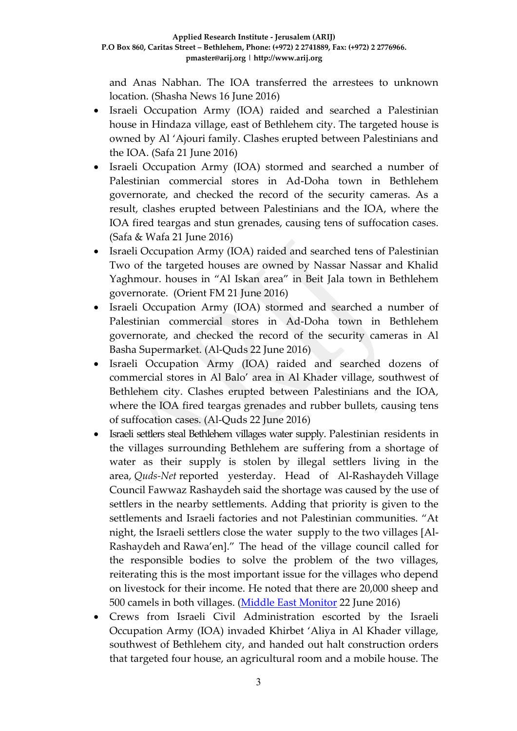and Anas Nabhan. The IOA transferred the arrestees to unknown location. (Shasha News 16 June 2016)

- Israeli Occupation Army (IOA) raided and searched a Palestinian house in Hindaza village, east of Bethlehem city. The targeted house is owned by Al 'Ajouri family. Clashes erupted between Palestinians and the IOA. (Safa 21 June 2016)
- Israeli Occupation Army (IOA) stormed and searched a number of Palestinian commercial stores in Ad-Doha town in Bethlehem governorate, and checked the record of the security cameras. As a result, clashes erupted between Palestinians and the IOA, where the IOA fired teargas and stun grenades, causing tens of suffocation cases. (Safa & Wafa 21 June 2016)
- Israeli Occupation Army (IOA) raided and searched tens of Palestinian Two of the targeted houses are owned by Nassar Nassar and Khalid Yaghmour. houses in "Al Iskan area" in Beit Jala town in Bethlehem governorate. (Orient FM 21 June 2016)
- Israeli Occupation Army (IOA) stormed and searched a number of Palestinian commercial stores in Ad-Doha town in Bethlehem governorate, and checked the record of the security cameras in Al Basha Supermarket. (Al-Quds 22 June 2016)
- Israeli Occupation Army (IOA) raided and searched dozens of commercial stores in Al Balo' area in Al Khader village, southwest of Bethlehem city. Clashes erupted between Palestinians and the IOA, where the IOA fired teargas grenades and rubber bullets, causing tens of suffocation cases. (Al-Quds 22 June 2016)
- Israeli settlers steal Bethlehem villages water supply. Palestinian residents in the villages surrounding Bethlehem are suffering from a shortage of water as their supply is stolen by illegal settlers living in the area, *Quds-Net* reported yesterday. Head of Al-Rashaydeh Village Council Fawwaz Rashaydeh said the shortage was caused by the use of settlers in the nearby settlements. Adding that priority is given to the settlements and Israeli factories and not Palestinian communities. "At night, the Israeli settlers close the water supply to the two villages [Al-Rashaydeh and Rawa'en]." The head of the village council called for the responsible bodies to solve the problem of the two villages, reiterating this is the most important issue for the villages who depend on livestock for their income. He noted that there are 20,000 sheep and 500 camels in both villages. [\(Middle East Monitor](https://www.middleeastmonitor.com/20160622-israeli-settlers-steal-bethlehem-villages-water-supply/) 22 June 2016)
- Crews from Israeli Civil Administration escorted by the Israeli Occupation Army (IOA) invaded Khirbet 'Aliya in Al Khader village, southwest of Bethlehem city, and handed out halt construction orders that targeted four house, an agricultural room and a mobile house. The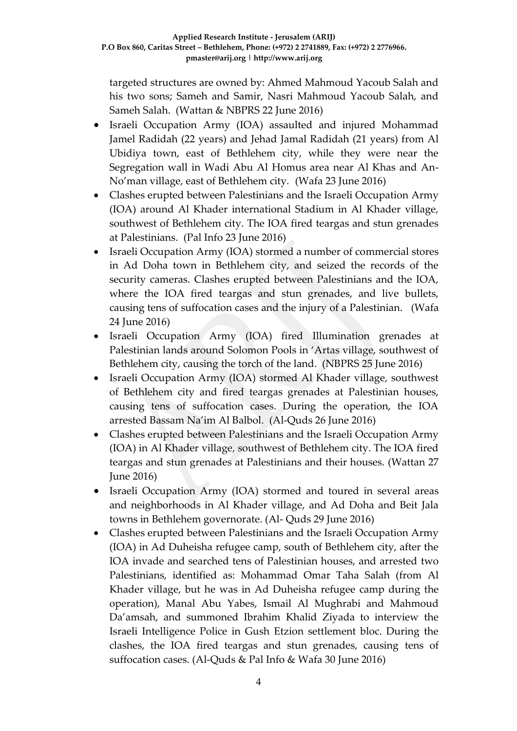targeted structures are owned by: Ahmed Mahmoud Yacoub Salah and his two sons; Sameh and Samir, Nasri Mahmoud Yacoub Salah, and Sameh Salah. (Wattan & NBPRS 22 June 2016)

- Israeli Occupation Army (IOA) assaulted and injured Mohammad Jamel Radidah (22 years) and Jehad Jamal Radidah (21 years) from Al Ubidiya town, east of Bethlehem city, while they were near the Segregation wall in Wadi Abu Al Homus area near Al Khas and An-No'man village, east of Bethlehem city.(Wafa 23 June 2016)
- Clashes erupted between Palestinians and the Israeli Occupation Army (IOA) around Al Khader international Stadium in Al Khader village, southwest of Bethlehem city. The IOA fired teargas and stun grenades at Palestinians. (Pal Info 23 June 2016)
- Israeli Occupation Army (IOA) stormed a number of commercial stores in Ad Doha town in Bethlehem city, and seized the records of the security cameras. Clashes erupted between Palestinians and the IOA, where the IOA fired teargas and stun grenades, and live bullets, causing tens of suffocation cases and the injury of a Palestinian. (Wafa 24 June 2016)
- Israeli Occupation Army (IOA) fired Illumination grenades at Palestinian lands around Solomon Pools in 'Artas village, southwest of Bethlehem city, causing the torch of the land. (NBPRS 25 June 2016)
- Israeli Occupation Army (IOA) stormed Al Khader village, southwest of Bethlehem city and fired teargas grenades at Palestinian houses, causing tens of suffocation cases. During the operation, the IOA arrested Bassam Na'im Al Balbol. (Al-Quds 26 June 2016)
- Clashes erupted between Palestinians and the Israeli Occupation Army (IOA) in Al Khader village, southwest of Bethlehem city. The IOA fired teargas and stun grenades at Palestinians and their houses. (Wattan 27 June 2016)
- Israeli Occupation Army (IOA) stormed and toured in several areas and neighborhoods in Al Khader village, and Ad Doha and Beit Jala towns in Bethlehem governorate. (Al- Quds 29 June 2016)
- Clashes erupted between Palestinians and the Israeli Occupation Army (IOA) in Ad Duheisha refugee camp, south of Bethlehem city, after the IOA invade and searched tens of Palestinian houses, and arrested two Palestinians, identified as: Mohammad Omar Taha Salah (from Al Khader village, but he was in Ad Duheisha refugee camp during the operation), Manal Abu Yabes, Ismail Al Mughrabi and Mahmoud Da'amsah, and summoned Ibrahim Khalid Ziyada to interview the Israeli Intelligence Police in Gush Etzion settlement bloc. During the clashes, the IOA fired teargas and stun grenades, causing tens of suffocation cases. (Al-Quds & Pal Info & Wafa 30 June 2016)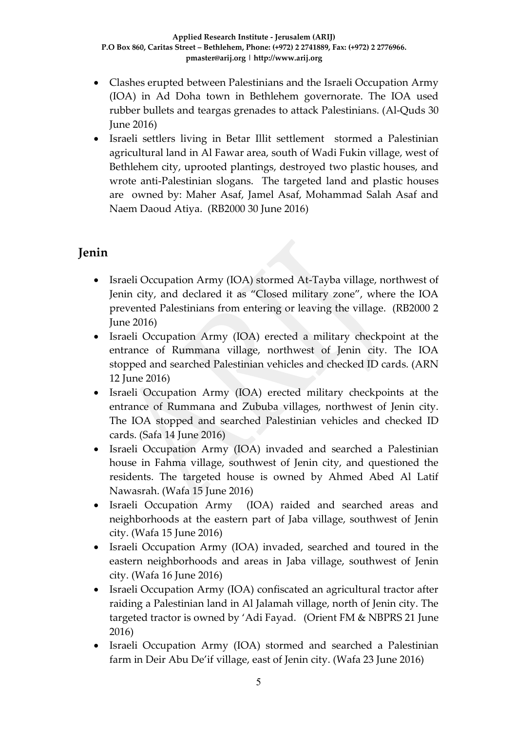- Clashes erupted between Palestinians and the Israeli Occupation Army (IOA) in Ad Doha town in Bethlehem governorate. The IOA used rubber bullets and teargas grenades to attack Palestinians. (Al-Quds 30 June 2016)
- Israeli settlers living in Betar Illit settlement stormed a Palestinian agricultural land in Al Fawar area, south of Wadi Fukin village, west of Bethlehem city, uprooted plantings, destroyed two plastic houses, and wrote anti-Palestinian slogans. The targeted land and plastic houses are owned by: Maher Asaf, Jamel Asaf, Mohammad Salah Asaf and Naem Daoud Atiya. (RB2000 30 June 2016)

# **Jenin**

- Israeli Occupation Army (IOA) stormed At-Tayba village, northwest of Jenin city, and declared it as "Closed military zone", where the IOA prevented Palestinians from entering or leaving the village. (RB2000 2 June 2016)
- Israeli Occupation Army (IOA) erected a military checkpoint at the entrance of Rummana village, northwest of Jenin city. The IOA stopped and searched Palestinian vehicles and checked ID cards. (ARN 12 June 2016)
- Israeli Occupation Army (IOA) erected military checkpoints at the entrance of Rummana and Zububa villages, northwest of Jenin city. The IOA stopped and searched Palestinian vehicles and checked ID cards. (Safa 14 June 2016)
- Israeli Occupation Army (IOA) invaded and searched a Palestinian house in Fahma village, southwest of Jenin city, and questioned the residents. The targeted house is owned by Ahmed Abed Al Latif Nawasrah. (Wafa 15 June 2016)
- Israeli Occupation Army (IOA) raided and searched areas and neighborhoods at the eastern part of Jaba village, southwest of Jenin city. (Wafa 15 June 2016)
- Israeli Occupation Army (IOA) invaded, searched and toured in the eastern neighborhoods and areas in Jaba village, southwest of Jenin city. (Wafa 16 June 2016)
- Israeli Occupation Army (IOA) confiscated an agricultural tractor after raiding a Palestinian land in Al Jalamah village, north of Jenin city. The targeted tractor is owned by 'Adi Fayad. (Orient FM & NBPRS 21 June 2016)
- Israeli Occupation Army (IOA) stormed and searched a Palestinian farm in Deir Abu De'if village, east of Jenin city. (Wafa 23 June 2016)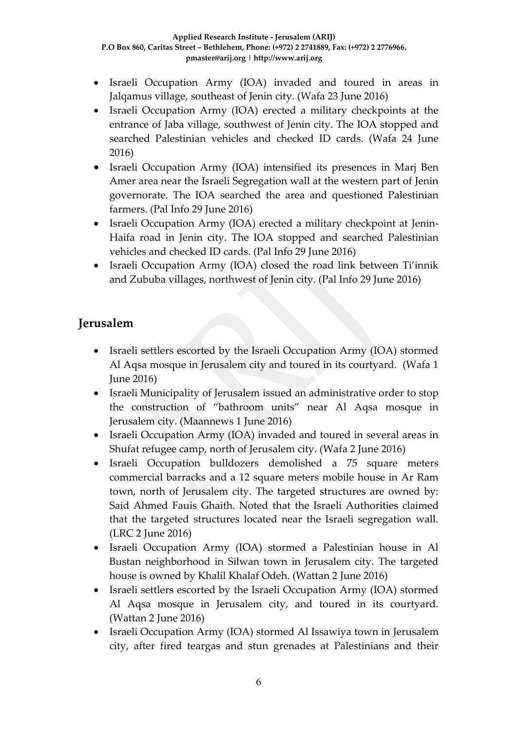- Israeli Occupation Army (IOA) invaded and toured in areas in Jalqamus village, southeast of Jenin city. (Wafa 23 June 2016)
- Israeli Occupation Army (IOA) erected a military checkpoints at the entrance of Jaba village, southwest of Jenin city. The IOA stopped and searched Palestinian vehicles and checked ID cards. (Wafa 24 June 2016)
- Israeli Occupation Army (IOA) intensified its presences in Marj Ben Amer area near the Israeli Segregation wall at the western part of Jenin governorate. The IOA searched the area and questioned Palestinian farmers. (Pal Info 29 June 2016)
- Israeli Occupation Army (IOA) erected a military checkpoint at Jenin-Haifa road in Jenin city. The IOA stopped and searched Palestinian vehicles and checked ID cards. (Pal Info 29 June 2016)
- Israeli Occupation Army (IOA) closed the road link between Ti'innik and Zububa villages, northwest of Jenin city. (Pal Info 29 June 2016)

# **Jerusalem**

- Israeli settlers escorted by the Israeli Occupation Army (IOA) stormed Al Aqsa mosque in Jerusalem city and toured in its courtyard. (Wafa 1 June 2016)
- Israeli Municipality of Jerusalem issued an administrative order to stop the construction of "bathroom units" near Al Aqsa mosque in Jerusalem city. (Maannews 1 June 2016)
- Israeli Occupation Army (IOA) invaded and toured in several areas in Shufat refugee camp, north of Jerusalem city. (Wafa 2 June 2016)
- Israeli Occupation bulldozers demolished a 75 square meters commercial barracks and a 12 square meters mobile house in Ar Ram town, north of Jerusalem city. The targeted structures are owned by: Said Ahmed Fauis Ghaith. Noted that the Israeli Authorities claimed that the targeted structures located near the Israeli segregation wall. (LRC 2 June 2016)
- Israeli Occupation Army (IOA) stormed a Palestinian house in Al Bustan neighborhood in Silwan town in Jerusalem city. The targeted house is owned by Khalil Khalaf Odeh. (Wattan 2 June 2016)
- Israeli settlers escorted by the Israeli Occupation Army (IOA) stormed Al Aqsa mosque in Jerusalem city, and toured in its courtyard. (Wattan 2 June 2016)
- Israeli Occupation Army (IOA) stormed Al Issawiya town in Jerusalem city, after fired teargas and stun grenades at Palestinians and their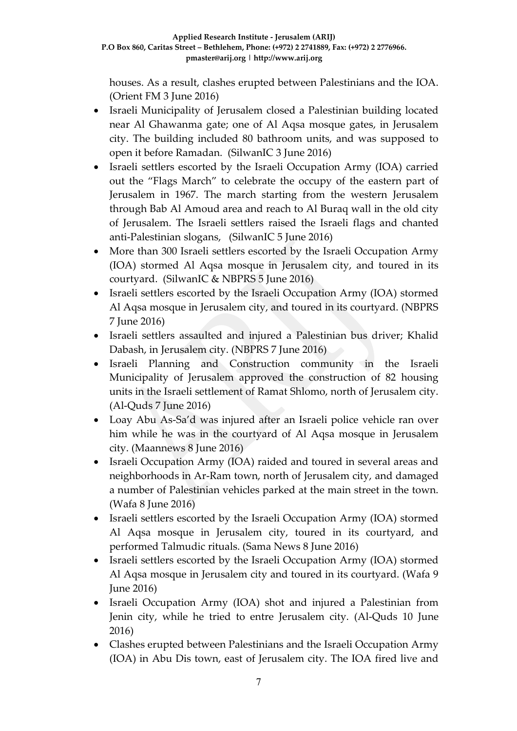houses. As a result, clashes erupted between Palestinians and the IOA. (Orient FM 3 June 2016)

- Israeli Municipality of Jerusalem closed a Palestinian building located near Al Ghawanma gate; one of Al Aqsa mosque gates, in Jerusalem city. The building included 80 bathroom units, and was supposed to open it before Ramadan. (SilwanIC 3 June 2016)
- Israeli settlers escorted by the Israeli Occupation Army (IOA) carried out the "Flags March" to celebrate the occupy of the eastern part of Jerusalem in 1967. The march starting from the western Jerusalem through Bab Al Amoud area and reach to Al Buraq wall in the old city of Jerusalem. The Israeli settlers raised the Israeli flags and chanted anti-Palestinian slogans, (SilwanIC 5 June 2016)
- More than 300 Israeli settlers escorted by the Israeli Occupation Army (IOA) stormed Al Aqsa mosque in Jerusalem city, and toured in its courtyard. (SilwanIC & NBPRS 5 June 2016)
- Israeli settlers escorted by the Israeli Occupation Army (IOA) stormed Al Aqsa mosque in Jerusalem city, and toured in its courtyard. (NBPRS 7 June 2016)
- Israeli settlers assaulted and injured a Palestinian bus driver; Khalid Dabash, in Jerusalem city. (NBPRS 7 June 2016)
- Israeli Planning and Construction community in the Israeli Municipality of Jerusalem approved the construction of 82 housing units in the Israeli settlement of Ramat Shlomo, north of Jerusalem city. (Al-Quds 7 June 2016)
- Loay Abu As-Sa'd was injured after an Israeli police vehicle ran over him while he was in the courtyard of Al Aqsa mosque in Jerusalem city. (Maannews 8 June 2016)
- Israeli Occupation Army (IOA) raided and toured in several areas and neighborhoods in Ar-Ram town, north of Jerusalem city, and damaged a number of Palestinian vehicles parked at the main street in the town. (Wafa 8 June 2016)
- Israeli settlers escorted by the Israeli Occupation Army (IOA) stormed Al Aqsa mosque in Jerusalem city, toured in its courtyard, and performed Talmudic rituals. (Sama News 8 June 2016)
- Israeli settlers escorted by the Israeli Occupation Army (IOA) stormed Al Aqsa mosque in Jerusalem city and toured in its courtyard. (Wafa 9 June 2016)
- Israeli Occupation Army (IOA) shot and injured a Palestinian from Jenin city, while he tried to entre Jerusalem city. (Al-Quds 10 June 2016)
- Clashes erupted between Palestinians and the Israeli Occupation Army (IOA) in Abu Dis town, east of Jerusalem city. The IOA fired live and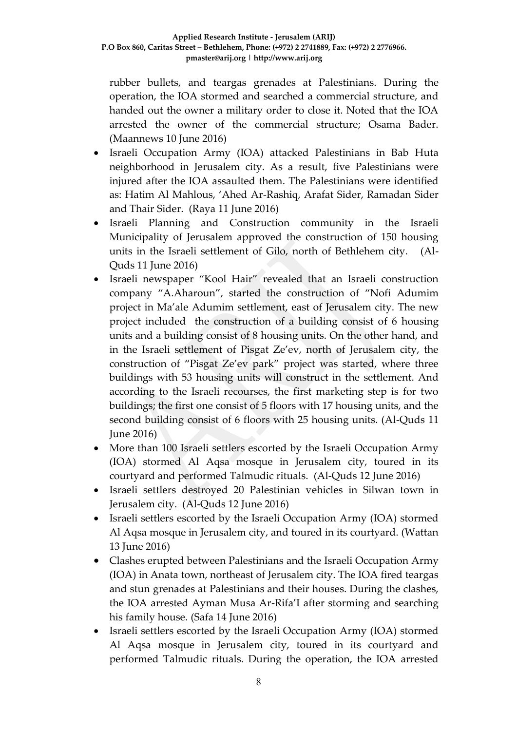rubber bullets, and teargas grenades at Palestinians. During the operation, the IOA stormed and searched a commercial structure, and handed out the owner a military order to close it. Noted that the IOA arrested the owner of the commercial structure; Osama Bader. (Maannews 10 June 2016)

- Israeli Occupation Army (IOA) attacked Palestinians in Bab Huta neighborhood in Jerusalem city. As a result, five Palestinians were injured after the IOA assaulted them. The Palestinians were identified as: Hatim Al Mahlous, 'Ahed Ar-Rashiq, Arafat Sider, Ramadan Sider and Thair Sider. (Raya 11 June 2016)
- Israeli Planning and Construction community in the Israeli Municipality of Jerusalem approved the construction of 150 housing units in the Israeli settlement of Gilo, north of Bethlehem city. (Al-Quds 11 June 2016)
- Israeli newspaper "Kool Hair" revealed that an Israeli construction company "A.Aharoun", started the construction of "Nofi Adumim project in Ma'ale Adumim settlement, east of Jerusalem city. The new project included the construction of a building consist of 6 housing units and a building consist of 8 housing units. On the other hand, and in the Israeli settlement of Pisgat Ze'ev, north of Jerusalem city, the construction of "Pisgat Ze'ev park" project was started, where three buildings with 53 housing units will construct in the settlement. And according to the Israeli recourses, the first marketing step is for two buildings; the first one consist of 5 floors with 17 housing units, and the second building consist of 6 floors with 25 housing units. (Al-Quds 11 June 2016)
- More than 100 Israeli settlers escorted by the Israeli Occupation Army (IOA) stormed Al Aqsa mosque in Jerusalem city, toured in its courtyard and performed Talmudic rituals. (Al-Quds 12 June 2016)
- Israeli settlers destroyed 20 Palestinian vehicles in Silwan town in Jerusalem city. (Al-Quds 12 June 2016)
- Israeli settlers escorted by the Israeli Occupation Army (IOA) stormed Al Aqsa mosque in Jerusalem city, and toured in its courtyard. (Wattan 13 June 2016)
- Clashes erupted between Palestinians and the Israeli Occupation Army (IOA) in Anata town, northeast of Jerusalem city. The IOA fired teargas and stun grenades at Palestinians and their houses. During the clashes, the IOA arrested Ayman Musa Ar-Rifa'I after storming and searching his family house. (Safa 14 June 2016)
- Israeli settlers escorted by the Israeli Occupation Army (IOA) stormed Al Aqsa mosque in Jerusalem city, toured in its courtyard and performed Talmudic rituals. During the operation, the IOA arrested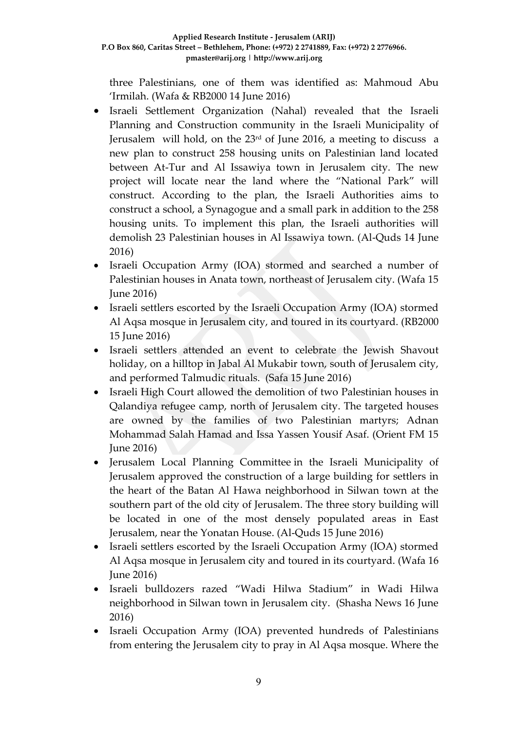three Palestinians, one of them was identified as: Mahmoud Abu 'Irmilah. (Wafa & RB2000 14 June 2016)

- Israeli Settlement Organization (Nahal) revealed that the Israeli Planning and Construction community in the Israeli Municipality of Jerusalem will hold, on the  $23<sup>rd</sup>$  of June 2016, a meeting to discuss a new plan to construct 258 housing units on Palestinian land located between At-Tur and Al Issawiya town in Jerusalem city. The new project will locate near the land where the "National Park" will construct. According to the plan, the Israeli Authorities aims to construct a school, a Synagogue and a small park in addition to the 258 housing units. To implement this plan, the Israeli authorities will demolish 23 Palestinian houses in Al Issawiya town. (Al-Quds 14 June 2016)
- Israeli Occupation Army (IOA) stormed and searched a number of Palestinian houses in Anata town, northeast of Jerusalem city. (Wafa 15 June 2016)
- Israeli settlers escorted by the Israeli Occupation Army (IOA) stormed Al Aqsa mosque in Jerusalem city, and toured in its courtyard. (RB2000 15 June 2016)
- Israeli settlers attended an event to celebrate the Jewish Shavout holiday, on a hilltop in Jabal Al Mukabir town, south of Jerusalem city, and performed Talmudic rituals. (Safa 15 June 2016)
- Israeli High Court allowed the demolition of two Palestinian houses in Qalandiya refugee camp, north of Jerusalem city. The targeted houses are owned by the families of two Palestinian martyrs; Adnan Mohammad Salah Hamad and Issa Yassen Yousif Asaf. (Orient FM 15 June 2016)
- Jerusalem Local Planning Committee in the Israeli Municipality of Jerusalem approved the construction of a large building for settlers in the heart of the Batan Al Hawa neighborhood in Silwan town at the southern part of the old city of Jerusalem. The three story building will be located in one of the most densely populated areas in East Jerusalem, near the Yonatan House. (Al-Quds 15 June 2016)
- Israeli settlers escorted by the Israeli Occupation Army (IOA) stormed Al Aqsa mosque in Jerusalem city and toured in its courtyard. (Wafa 16 June 2016)
- Israeli bulldozers razed "Wadi Hilwa Stadium" in Wadi Hilwa neighborhood in Silwan town in Jerusalem city. (Shasha News 16 June 2016)
- Israeli Occupation Army (IOA) prevented hundreds of Palestinians from entering the Jerusalem city to pray in Al Aqsa mosque. Where the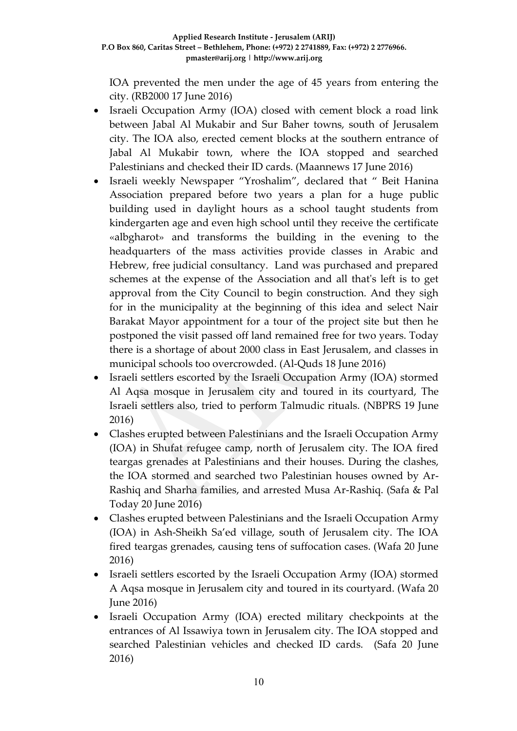IOA prevented the men under the age of 45 years from entering the city. (RB2000 17 June 2016)

- Israeli Occupation Army (IOA) closed with cement block a road link between Jabal Al Mukabir and Sur Baher towns, south of Jerusalem city. The IOA also, erected cement blocks at the southern entrance of Jabal Al Mukabir town, where the IOA stopped and searched Palestinians and checked their ID cards. (Maannews 17 June 2016)
- Israeli weekly Newspaper "Yroshalim", declared that " Beit Hanina Association prepared before two years a plan for a huge public building used in daylight hours as a school taught students from kindergarten age and even high school until they receive the certificate «albgharot» and transforms the building in the evening to the headquarters of the mass activities provide classes in Arabic and Hebrew, free judicial consultancy. Land was purchased and prepared schemes at the expense of the Association and all that's left is to get approval from the City Council to begin construction. And they sigh for in the municipality at the beginning of this idea and select Nair Barakat Mayor appointment for a tour of the project site but then he postponed the visit passed off land remained free for two years. Today there is a shortage of about 2000 class in East Jerusalem, and classes in municipal schools too overcrowded. (Al-Quds 18 June 2016)
- Israeli settlers escorted by the Israeli Occupation Army (IOA) stormed Al Aqsa mosque in Jerusalem city and toured in its courtyard, The Israeli settlers also, tried to perform Talmudic rituals. (NBPRS 19 June 2016)
- Clashes erupted between Palestinians and the Israeli Occupation Army (IOA) in Shufat refugee camp, north of Jerusalem city. The IOA fired teargas grenades at Palestinians and their houses. During the clashes, the IOA stormed and searched two Palestinian houses owned by Ar-Rashiq and Sharha families, and arrested Musa Ar-Rashiq. (Safa & Pal Today 20 June 2016)
- Clashes erupted between Palestinians and the Israeli Occupation Army (IOA) in Ash-Sheikh Sa'ed village, south of Jerusalem city. The IOA fired teargas grenades, causing tens of suffocation cases. (Wafa 20 June 2016)
- Israeli settlers escorted by the Israeli Occupation Army (IOA) stormed A Aqsa mosque in Jerusalem city and toured in its courtyard. (Wafa 20 June 2016)
- Israeli Occupation Army (IOA) erected military checkpoints at the entrances of Al Issawiya town in Jerusalem city. The IOA stopped and searched Palestinian vehicles and checked ID cards. (Safa 20 June 2016)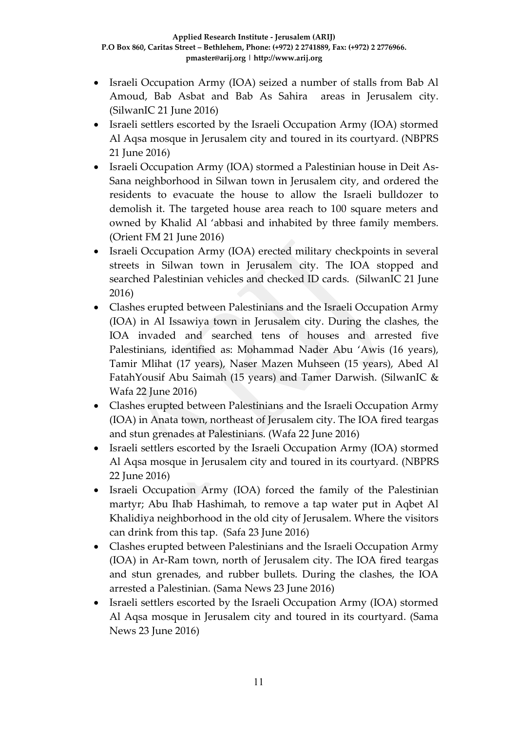- Israeli Occupation Army (IOA) seized a number of stalls from Bab Al Amoud, Bab Asbat and Bab As Sahira areas in Jerusalem city. (SilwanIC 21 June 2016)
- Israeli settlers escorted by the Israeli Occupation Army (IOA) stormed Al Aqsa mosque in Jerusalem city and toured in its courtyard. (NBPRS 21 June 2016)
- Israeli Occupation Army (IOA) stormed a Palestinian house in Deit As-Sana neighborhood in Silwan town in Jerusalem city, and ordered the residents to evacuate the house to allow the Israeli bulldozer to demolish it. The targeted house area reach to 100 square meters and owned by Khalid Al 'abbasi and inhabited by three family members. (Orient FM 21 June 2016)
- Israeli Occupation Army (IOA) erected military checkpoints in several streets in Silwan town in Jerusalem city. The IOA stopped and searched Palestinian vehicles and checked ID cards. (SilwanIC 21 June 2016)
- Clashes erupted between Palestinians and the Israeli Occupation Army (IOA) in Al Issawiya town in Jerusalem city. During the clashes, the IOA invaded and searched tens of houses and arrested five Palestinians, identified as: Mohammad Nader Abu 'Awis (16 years), Tamir Mlihat (17 years), Naser Mazen Muhseen (15 years), Abed Al FatahYousif Abu Saimah (15 years) and Tamer Darwish. (SilwanIC & Wafa 22 June 2016)
- Clashes erupted between Palestinians and the Israeli Occupation Army (IOA) in Anata town, northeast of Jerusalem city. The IOA fired teargas and stun grenades at Palestinians. (Wafa 22 June 2016)
- Israeli settlers escorted by the Israeli Occupation Army (IOA) stormed Al Aqsa mosque in Jerusalem city and toured in its courtyard. (NBPRS 22 June 2016)
- Israeli Occupation Army (IOA) forced the family of the Palestinian martyr; Abu Ihab Hashimah, to remove a tap water put in Aqbet Al Khalidiya neighborhood in the old city of Jerusalem. Where the visitors can drink from this tap. (Safa 23 June 2016)
- Clashes erupted between Palestinians and the Israeli Occupation Army (IOA) in Ar-Ram town, north of Jerusalem city. The IOA fired teargas and stun grenades, and rubber bullets. During the clashes, the IOA arrested a Palestinian. (Sama News 23 June 2016)
- Israeli settlers escorted by the Israeli Occupation Army (IOA) stormed Al Aqsa mosque in Jerusalem city and toured in its courtyard. (Sama News 23 June 2016)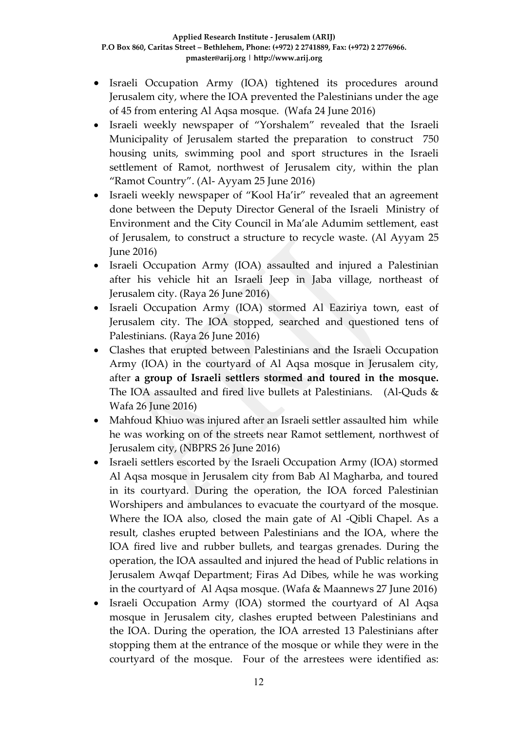- Israeli Occupation Army (IOA) tightened its procedures around Jerusalem city, where the IOA prevented the Palestinians under the age of 45 from entering Al Aqsa mosque. (Wafa 24 June 2016)
- Israeli weekly newspaper of "Yorshalem" revealed that the Israeli Municipality of Jerusalem started the preparation to construct 750 housing units, swimming pool and sport structures in the Israeli settlement of Ramot, northwest of Jerusalem city, within the plan "Ramot Country". (Al- Ayyam 25 June 2016)
- Israeli weekly newspaper of "Kool Ha'ir" revealed that an agreement done between the Deputy Director General of the Israeli Ministry of Environment and the City Council in Ma'ale Adumim settlement, east of Jerusalem, to construct a structure to recycle waste. (Al Ayyam 25 June 2016)
- Israeli Occupation Army (IOA) assaulted and injured a Palestinian after his vehicle hit an Israeli Jeep in Jaba village, northeast of Jerusalem city. (Raya 26 June 2016)
- Israeli Occupation Army (IOA) stormed Al Eaziriya town, east of Jerusalem city. The IOA stopped, searched and questioned tens of Palestinians. (Raya 26 June 2016)
- Clashes that erupted between Palestinians and the Israeli Occupation Army (IOA) in the courtyard of Al Aqsa mosque in Jerusalem city, after **a group of Israeli settlers stormed and toured in the mosque.**  The IOA assaulted and fired live bullets at Palestinians. (Al-Quds & Wafa 26 June 2016)
- Mahfoud Khiuo was injured after an Israeli settler assaulted him while he was working on of the streets near Ramot settlement, northwest of Jerusalem city, (NBPRS 26 June 2016)
- Israeli settlers escorted by the Israeli Occupation Army (IOA) stormed Al Aqsa mosque in Jerusalem city from Bab Al Magharba, and toured in its courtyard. During the operation, the IOA forced Palestinian Worshipers and ambulances to evacuate the courtyard of the mosque. Where the IOA also, closed the main gate of Al -Qibli Chapel. As a result, clashes erupted between Palestinians and the IOA, where the IOA fired live and rubber bullets, and teargas grenades. During the operation, the IOA assaulted and injured the head of Public relations in Jerusalem Awqaf Department; Firas Ad Dibes, while he was working in the courtyard of Al Aqsa mosque. (Wafa & Maannews 27 June 2016)
- Israeli Occupation Army (IOA) stormed the courtyard of Al Aqsa mosque in Jerusalem city, clashes erupted between Palestinians and the IOA. During the operation, the IOA arrested 13 Palestinians after stopping them at the entrance of the mosque or while they were in the courtyard of the mosque. Four of the arrestees were identified as: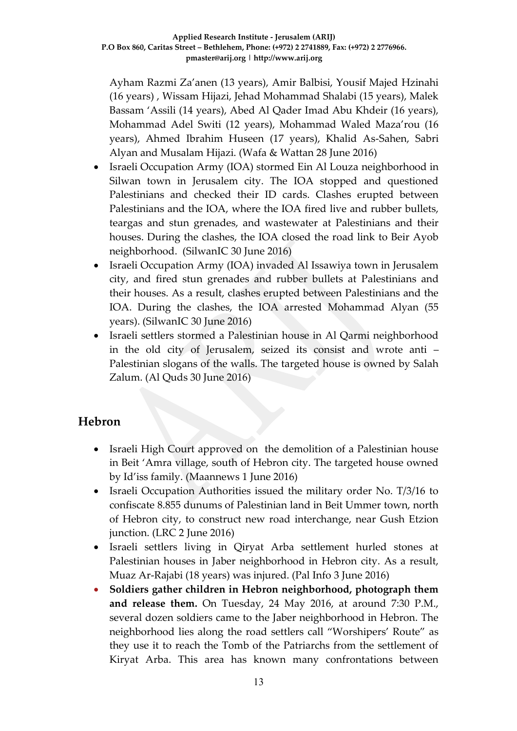Ayham Razmi Za'anen (13 years), Amir Balbisi, Yousif Majed Hzinahi (16 years) , Wissam Hijazi, Jehad Mohammad Shalabi (15 years), Malek Bassam 'Assili (14 years), Abed Al Qader Imad Abu Khdeir (16 years), Mohammad Adel Switi (12 years), Mohammad Waled Maza'rou (16 years), Ahmed Ibrahim Huseen (17 years), Khalid As-Sahen, Sabri Alyan and Musalam Hijazi. (Wafa & Wattan 28 June 2016)

- Israeli Occupation Army (IOA) stormed Ein Al Louza neighborhood in Silwan town in Jerusalem city. The IOA stopped and questioned Palestinians and checked their ID cards. Clashes erupted between Palestinians and the IOA, where the IOA fired live and rubber bullets, teargas and stun grenades, and wastewater at Palestinians and their houses. During the clashes, the IOA closed the road link to Beir Ayob neighborhood. (SilwanIC 30 June 2016)
- Israeli Occupation Army (IOA) invaded Al Issawiya town in Jerusalem city, and fired stun grenades and rubber bullets at Palestinians and their houses. As a result, clashes erupted between Palestinians and the IOA. During the clashes, the IOA arrested Mohammad Alyan (55 years). (SilwanIC 30 June 2016)
- Israeli settlers stormed a Palestinian house in Al Qarmi neighborhood in the old city of Jerusalem, seized its consist and wrote anti – Palestinian slogans of the walls. The targeted house is owned by Salah Zalum. (Al Quds 30 June 2016)

### **Hebron**

- Israeli High Court approved on the demolition of a Palestinian house in Beit 'Amra village, south of Hebron city. The targeted house owned by Id'iss family. (Maannews 1 June 2016)
- Israeli Occupation Authorities issued the military order No. T/3/16 to confiscate 8.855 dunums of Palestinian land in Beit Ummer town, north of Hebron city, to construct new road interchange, near Gush Etzion junction. (LRC 2 June 2016)
- Israeli settlers living in Qiryat Arba settlement hurled stones at Palestinian houses in Jaber neighborhood in Hebron city. As a result, Muaz Ar-Rajabi (18 years) was injured. (Pal Info 3 June 2016)
- **Soldiers gather children in Hebron neighborhood, photograph them and release them.** On Tuesday, 24 May 2016, at around 7:30 P.M., several dozen soldiers came to the Jaber neighborhood in Hebron. The neighborhood lies along the road settlers call "Worshipers' Route" as they use it to reach the Tomb of the Patriarchs from the settlement of Kiryat Arba. This area has known many confrontations between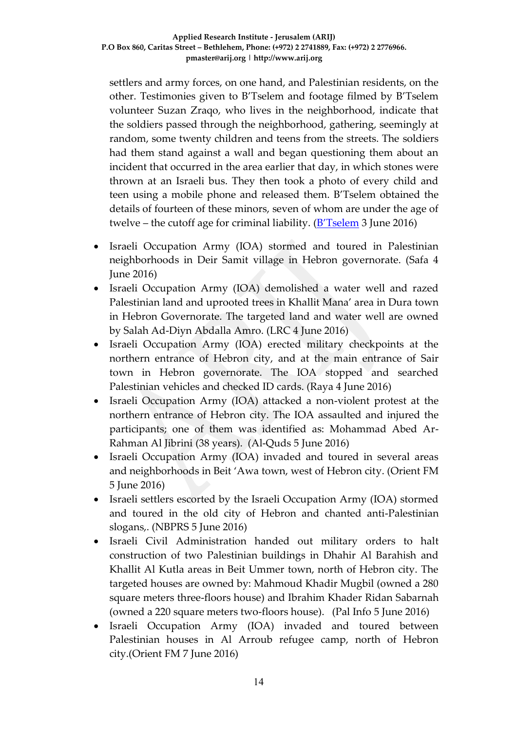settlers and army forces, on one hand, and Palestinian residents, on the other. Testimonies given to B'Tselem and footage filmed by B'Tselem volunteer Suzan Zraqo, who lives in the neighborhood, indicate that the soldiers passed through the neighborhood, gathering, seemingly at random, some twenty children and teens from the streets. The soldiers had them stand against a wall and began questioning them about an incident that occurred in the area earlier that day, in which stones were thrown at an Israeli bus. They then took a photo of every child and teen using a mobile phone and released them. B'Tselem obtained the details of fourteen of these minors, seven of whom are under the age of twelve – the cutoff age for criminal liability. ([B'Tselem](http://www.btselem.org/hebron/20160602_soldiers_photograph_minors_in_hebron) 3 June 2016)

- Israeli Occupation Army (IOA) stormed and toured in Palestinian neighborhoods in Deir Samit village in Hebron governorate. (Safa 4 June 2016)
- Israeli Occupation Army (IOA) demolished a water well and razed Palestinian land and uprooted trees in Khallit Mana' area in Dura town in Hebron Governorate. The targeted land and water well are owned by Salah Ad-Diyn Abdalla Amro. (LRC 4 June 2016)
- Israeli Occupation Army (IOA) erected military checkpoints at the northern entrance of Hebron city, and at the main entrance of Sair town in Hebron governorate. The IOA stopped and searched Palestinian vehicles and checked ID cards. (Raya 4 June 2016)
- Israeli Occupation Army (IOA) attacked a non-violent protest at the northern entrance of Hebron city. The IOA assaulted and injured the participants; one of them was identified as: Mohammad Abed Ar-Rahman Al Jibrini (38 years). (Al-Quds 5 June 2016)
- Israeli Occupation Army (IOA) invaded and toured in several areas and neighborhoods in Beit 'Awa town, west of Hebron city. (Orient FM 5 June 2016)
- Israeli settlers escorted by the Israeli Occupation Army (IOA) stormed and toured in the old city of Hebron and chanted anti-Palestinian slogans,. (NBPRS 5 June 2016)
- Israeli Civil Administration handed out military orders to halt construction of two Palestinian buildings in Dhahir Al Barahish and Khallit Al Kutla areas in Beit Ummer town, north of Hebron city. The targeted houses are owned by: Mahmoud Khadir Mugbil (owned a 280 square meters three-floors house) and Ibrahim Khader Ridan Sabarnah (owned a 220 square meters two-floors house). (Pal Info 5 June 2016)
- Israeli Occupation Army (IOA) invaded and toured between Palestinian houses in Al Arroub refugee camp, north of Hebron city.(Orient FM 7 June 2016)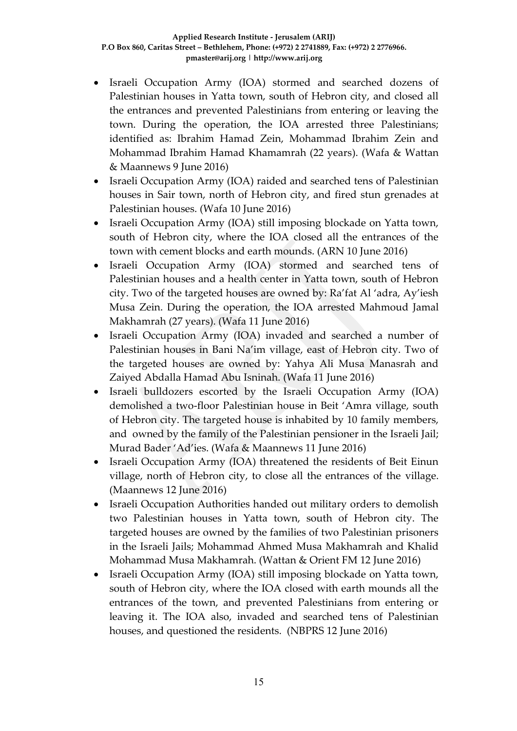- Israeli Occupation Army (IOA) stormed and searched dozens of Palestinian houses in Yatta town, south of Hebron city, and closed all the entrances and prevented Palestinians from entering or leaving the town. During the operation, the IOA arrested three Palestinians; identified as: Ibrahim Hamad Zein, Mohammad Ibrahim Zein and Mohammad Ibrahim Hamad Khamamrah (22 years). (Wafa & Wattan & Maannews 9 June 2016)
- Israeli Occupation Army (IOA) raided and searched tens of Palestinian houses in Sair town, north of Hebron city, and fired stun grenades at Palestinian houses. (Wafa 10 June 2016)
- Israeli Occupation Army (IOA) still imposing blockade on Yatta town, south of Hebron city, where the IOA closed all the entrances of the town with cement blocks and earth mounds. (ARN 10 June 2016)
- Israeli Occupation Army (IOA) stormed and searched tens of Palestinian houses and a health center in Yatta town, south of Hebron city. Two of the targeted houses are owned by: Ra'fat Al 'adra, Ay'iesh Musa Zein. During the operation, the IOA arrested Mahmoud Jamal Makhamrah (27 years). (Wafa 11 June 2016)
- Israeli Occupation Army (IOA) invaded and searched a number of Palestinian houses in Bani Na'im village, east of Hebron city. Two of the targeted houses are owned by: Yahya Ali Musa Manasrah and Zaiyed Abdalla Hamad Abu Isninah. (Wafa 11 June 2016)
- Israeli bulldozers escorted by the Israeli Occupation Army (IOA) demolished a two-floor Palestinian house in Beit 'Amra village, south of Hebron city. The targeted house is inhabited by 10 family members, and owned by the family of the Palestinian pensioner in the Israeli Jail; Murad Bader 'Ad'ies. (Wafa & Maannews 11 June 2016)
- Israeli Occupation Army (IOA) threatened the residents of Beit Einun village, north of Hebron city, to close all the entrances of the village. (Maannews 12 June 2016)
- Israeli Occupation Authorities handed out military orders to demolish two Palestinian houses in Yatta town, south of Hebron city. The targeted houses are owned by the families of two Palestinian prisoners in the Israeli Jails; Mohammad Ahmed Musa Makhamrah and Khalid Mohammad Musa Makhamrah. (Wattan & Orient FM 12 June 2016)
- Israeli Occupation Army (IOA) still imposing blockade on Yatta town, south of Hebron city, where the IOA closed with earth mounds all the entrances of the town, and prevented Palestinians from entering or leaving it. The IOA also, invaded and searched tens of Palestinian houses, and questioned the residents. (NBPRS 12 June 2016)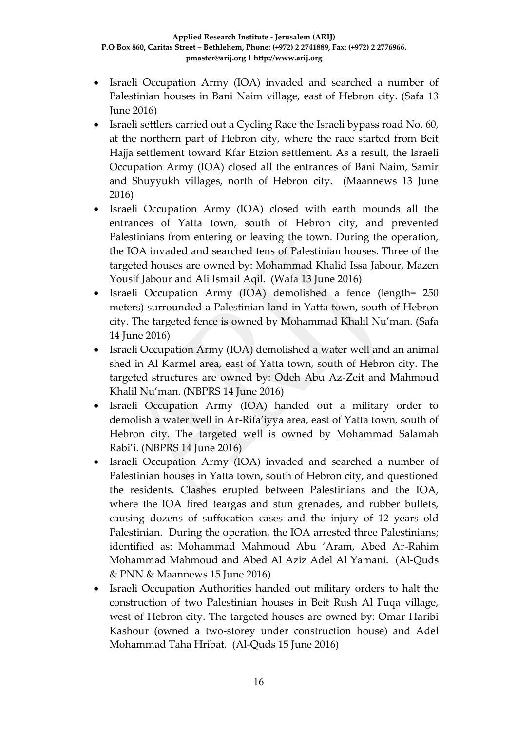- Israeli Occupation Army (IOA) invaded and searched a number of Palestinian houses in Bani Naim village, east of Hebron city. (Safa 13 June 2016)
- Israeli settlers carried out a Cycling Race the Israeli bypass road No. 60, at the northern part of Hebron city, where the race started from Beit Hajja settlement toward Kfar Etzion settlement. As a result, the Israeli Occupation Army (IOA) closed all the entrances of Bani Naim, Samir and Shuyyukh villages, north of Hebron city. (Maannews 13 June 2016)
- Israeli Occupation Army (IOA) closed with earth mounds all the entrances of Yatta town, south of Hebron city, and prevented Palestinians from entering or leaving the town. During the operation, the IOA invaded and searched tens of Palestinian houses. Three of the targeted houses are owned by: Mohammad Khalid Issa Jabour, Mazen Yousif Jabour and Ali Ismail Aqil. (Wafa 13 June 2016)
- Israeli Occupation Army (IOA) demolished a fence (length= 250 meters) surrounded a Palestinian land in Yatta town, south of Hebron city. The targeted fence is owned by Mohammad Khalil Nu'man. (Safa 14 June 2016)
- Israeli Occupation Army (IOA) demolished a water well and an animal shed in Al Karmel area, east of Yatta town, south of Hebron city. The targeted structures are owned by: Odeh Abu Az-Zeit and Mahmoud Khalil Nu'man. (NBPRS 14 June 2016)
- Israeli Occupation Army (IOA) handed out a military order to demolish a water well in Ar-Rifa'iyya area, east of Yatta town, south of Hebron city. The targeted well is owned by Mohammad Salamah Rabi'i. (NBPRS 14 June 2016)
- Israeli Occupation Army (IOA) invaded and searched a number of Palestinian houses in Yatta town, south of Hebron city, and questioned the residents. Clashes erupted between Palestinians and the IOA, where the IOA fired teargas and stun grenades, and rubber bullets, causing dozens of suffocation cases and the injury of 12 years old Palestinian. During the operation, the IOA arrested three Palestinians; identified as: Mohammad Mahmoud Abu 'Aram, Abed Ar-Rahim Mohammad Mahmoud and Abed Al Aziz Adel Al Yamani. (Al-Quds & PNN & Maannews 15 June 2016)
- Israeli Occupation Authorities handed out military orders to halt the construction of two Palestinian houses in Beit Rush Al Fuqa village, west of Hebron city. The targeted houses are owned by: Omar Haribi Kashour (owned a two-storey under construction house) and Adel Mohammad Taha Hribat. (Al-Quds 15 June 2016)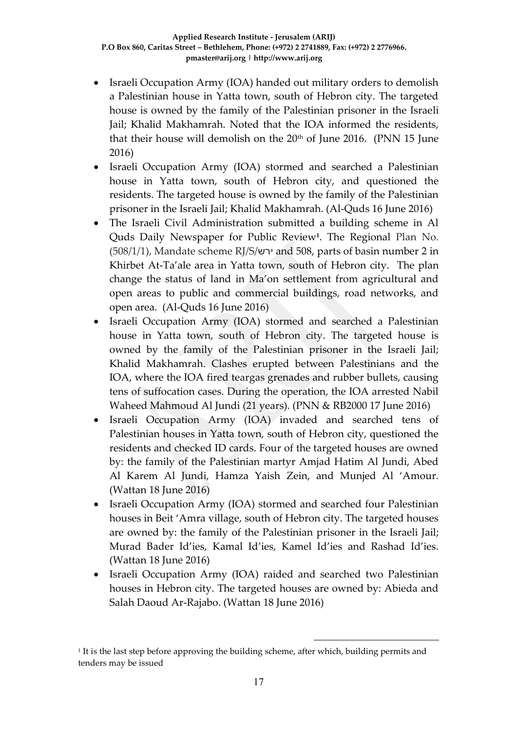- Israeli Occupation Army (IOA) handed out military orders to demolish a Palestinian house in Yatta town, south of Hebron city. The targeted house is owned by the family of the Palestinian prisoner in the Israeli Jail; Khalid Makhamrah. Noted that the IOA informed the residents, that their house will demolish on the 20<sup>th</sup> of June 2016. (PNN 15 June 2016)
- Israeli Occupation Army (IOA) stormed and searched a Palestinian house in Yatta town, south of Hebron city, and questioned the residents. The targeted house is owned by the family of the Palestinian prisoner in the Israeli Jail; Khalid Makhamrah. (Al-Quds 16 June 2016)
- The Israeli Civil Administration submitted a building scheme in Al Quds Daily Newspaper for Public Review**<sup>1</sup>** . The Regional Plan No. (508/1/1), Mandate scheme RJ/S/ירש and 508, parts of basin number 2 in Khirbet At-Ta'ale area in Yatta town, south of Hebron city. The plan change the status of land in Ma'on settlement from agricultural and open areas to public and commercial buildings, road networks, and open area. (Al-Quds 16 June 2016)
- Israeli Occupation Army (IOA) stormed and searched a Palestinian house in Yatta town, south of Hebron city. The targeted house is owned by the family of the Palestinian prisoner in the Israeli Jail; Khalid Makhamrah. Clashes erupted between Palestinians and the IOA, where the IOA fired teargas grenades and rubber bullets, causing tens of suffocation cases. During the operation, the IOA arrested Nabil Waheed Mahmoud Al Jundi (21 years). (PNN & RB2000 17 June 2016)
- Israeli Occupation Army (IOA) invaded and searched tens of Palestinian houses in Yatta town, south of Hebron city, questioned the residents and checked ID cards. Four of the targeted houses are owned by: the family of the Palestinian martyr Amjad Hatim Al Jundi, Abed Al Karem Al Jundi, Hamza Yaish Zein, and Munjed Al 'Amour. (Wattan 18 June 2016)
- Israeli Occupation Army (IOA) stormed and searched four Palestinian houses in Beit 'Amra village, south of Hebron city. The targeted houses are owned by: the family of the Palestinian prisoner in the Israeli Jail; Murad Bader Id'ies, Kamal Id'ies, Kamel Id'ies and Rashad Id'ies. (Wattan 18 June 2016)
- Israeli Occupation Army (IOA) raided and searched two Palestinian houses in Hebron city. The targeted houses are owned by: Abieda and Salah Daoud Ar-Rajabo. (Wattan 18 June 2016)

1

<sup>1</sup> It is the last step before approving the building scheme, after which, building permits and tenders may be issued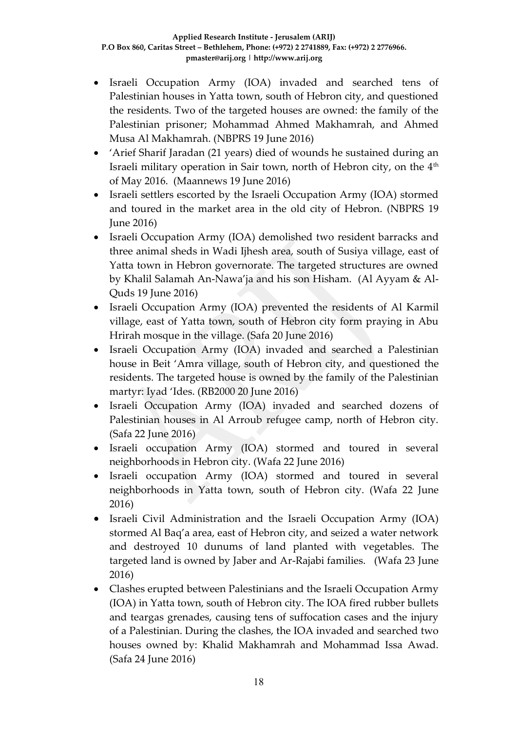- Israeli Occupation Army (IOA) invaded and searched tens of Palestinian houses in Yatta town, south of Hebron city, and questioned the residents. Two of the targeted houses are owned: the family of the Palestinian prisoner; Mohammad Ahmed Makhamrah, and Ahmed Musa Al Makhamrah. (NBPRS 19 June 2016)
- 'Arief Sharif Jaradan (21 years) died of wounds he sustained during an Israeli military operation in Sair town, north of Hebron city, on the 4<sup>th</sup> of May 2016. (Maannews 19 June 2016)
- Israeli settlers escorted by the Israeli Occupation Army (IOA) stormed and toured in the market area in the old city of Hebron. (NBPRS 19 June 2016)
- Israeli Occupation Army (IOA) demolished two resident barracks and three animal sheds in Wadi Ijhesh area, south of Susiya village, east of Yatta town in Hebron governorate. The targeted structures are owned by Khalil Salamah An-Nawa'ja and his son Hisham. (Al Ayyam & Al-Quds 19 June 2016)
- Israeli Occupation Army (IOA) prevented the residents of Al Karmil village, east of Yatta town, south of Hebron city form praying in Abu Hrirah mosque in the village. (Safa 20 June 2016)
- Israeli Occupation Army (IOA) invaded and searched a Palestinian house in Beit 'Amra village, south of Hebron city, and questioned the residents. The targeted house is owned by the family of the Palestinian martyr: Iyad 'Ides. (RB2000 20 June 2016)
- Israeli Occupation Army (IOA) invaded and searched dozens of Palestinian houses in Al Arroub refugee camp, north of Hebron city. (Safa 22 June 2016)
- Israeli occupation Army (IOA) stormed and toured in several neighborhoods in Hebron city. (Wafa 22 June 2016)
- Israeli occupation Army (IOA) stormed and toured in several neighborhoods in Yatta town, south of Hebron city. (Wafa 22 June 2016)
- Israeli Civil Administration and the Israeli Occupation Army (IOA) stormed Al Baq'a area, east of Hebron city, and seized a water network and destroyed 10 dunums of land planted with vegetables. The targeted land is owned by Jaber and Ar-Rajabi families. (Wafa 23 June 2016)
- Clashes erupted between Palestinians and the Israeli Occupation Army (IOA) in Yatta town, south of Hebron city. The IOA fired rubber bullets and teargas grenades, causing tens of suffocation cases and the injury of a Palestinian. During the clashes, the IOA invaded and searched two houses owned by: Khalid Makhamrah and Mohammad Issa Awad. (Safa 24 June 2016)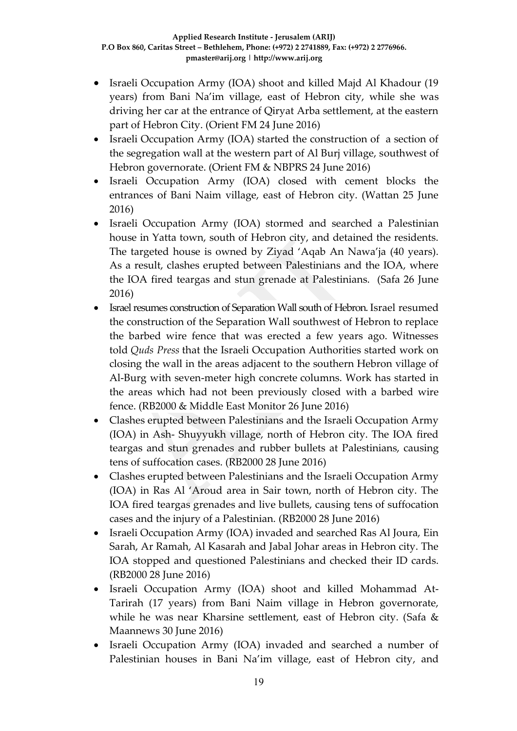- Israeli Occupation Army (IOA) shoot and killed Majd Al Khadour (19 years) from Bani Na'im village, east of Hebron city, while she was driving her car at the entrance of Qiryat Arba settlement, at the eastern part of Hebron City. (Orient FM 24 June 2016)
- Israeli Occupation Army (IOA) started the construction of a section of the segregation wall at the western part of Al Burj village, southwest of Hebron governorate. (Orient FM & NBPRS 24 June 2016)
- Israeli Occupation Army (IOA) closed with cement blocks the entrances of Bani Naim village, east of Hebron city. (Wattan 25 June 2016)
- Israeli Occupation Army (IOA) stormed and searched a Palestinian house in Yatta town, south of Hebron city, and detained the residents. The targeted house is owned by Ziyad 'Aqab An Nawa'ja (40 years). As a result, clashes erupted between Palestinians and the IOA, where the IOA fired teargas and stun grenade at Palestinians. (Safa 26 June 2016)
- Israel resumes construction of Separation Wall south of Hebron. Israel resumed the construction of the Separation Wall southwest of Hebron to replace the barbed wire fence that was erected a few years ago. Witnesses told *Quds Press* that the Israeli Occupation Authorities started work on closing the wall in the areas adjacent to the southern Hebron village of Al-Burg with seven-meter high concrete columns. Work has started in the areas which had not been previously closed with a barbed wire fence. (RB2000 & Middle East Monitor 26 June 2016)
- Clashes erupted between Palestinians and the Israeli Occupation Army (IOA) in Ash- Shuyyukh village, north of Hebron city. The IOA fired teargas and stun grenades and rubber bullets at Palestinians, causing tens of suffocation cases. (RB2000 28 June 2016)
- Clashes erupted between Palestinians and the Israeli Occupation Army (IOA) in Ras Al 'Aroud area in Sair town, north of Hebron city. The IOA fired teargas grenades and live bullets, causing tens of suffocation cases and the injury of a Palestinian. (RB2000 28 June 2016)
- Israeli Occupation Army (IOA) invaded and searched Ras Al Joura, Ein Sarah, Ar Ramah, Al Kasarah and Jabal Johar areas in Hebron city. The IOA stopped and questioned Palestinians and checked their ID cards. (RB2000 28 June 2016)
- Israeli Occupation Army (IOA) shoot and killed Mohammad At-Tarirah (17 years) from Bani Naim village in Hebron governorate, while he was near Kharsine settlement, east of Hebron city. (Safa & Maannews 30 June 2016)
- Israeli Occupation Army (IOA) invaded and searched a number of Palestinian houses in Bani Na'im village, east of Hebron city, and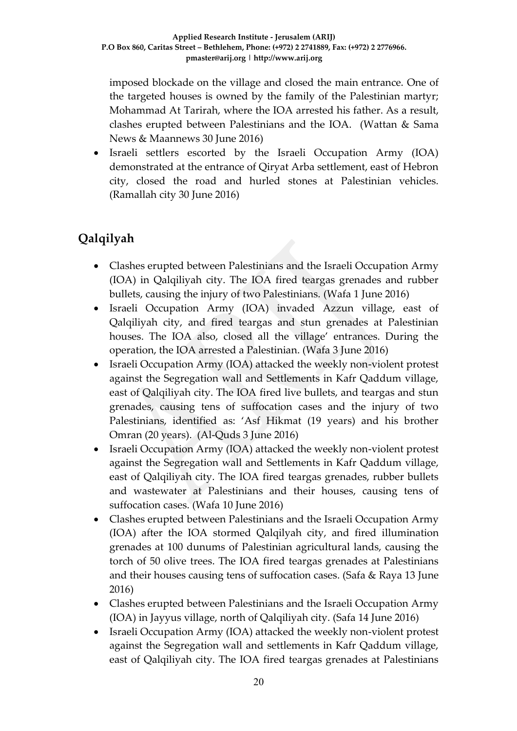imposed blockade on the village and closed the main entrance. One of the targeted houses is owned by the family of the Palestinian martyr; Mohammad At Tarirah, where the IOA arrested his father. As a result, clashes erupted between Palestinians and the IOA. (Wattan & Sama News & Maannews 30 June 2016)

 Israeli settlers escorted by the Israeli Occupation Army (IOA) demonstrated at the entrance of Qiryat Arba settlement, east of Hebron city, closed the road and hurled stones at Palestinian vehicles. (Ramallah city 30 June 2016)

# **Qalqilyah**

- Clashes erupted between Palestinians and the Israeli Occupation Army (IOA) in Qalqiliyah city. The IOA fired teargas grenades and rubber bullets, causing the injury of two Palestinians. (Wafa 1 June 2016)
- Israeli Occupation Army (IOA) invaded Azzun village, east of Qalqiliyah city, and fired teargas and stun grenades at Palestinian houses. The IOA also, closed all the village' entrances. During the operation, the IOA arrested a Palestinian. (Wafa 3 June 2016)
- Israeli Occupation Army (IOA) attacked the weekly non-violent protest against the Segregation wall and Settlements in Kafr Qaddum village, east of Qalqiliyah city. The IOA fired live bullets, and teargas and stun grenades, causing tens of suffocation cases and the injury of two Palestinians, identified as: 'Asf Hikmat (19 years) and his brother Omran (20 years). (Al-Quds 3 June 2016)
- Israeli Occupation Army (IOA) attacked the weekly non-violent protest against the Segregation wall and Settlements in Kafr Qaddum village, east of Qalqiliyah city. The IOA fired teargas grenades, rubber bullets and wastewater at Palestinians and their houses, causing tens of suffocation cases. (Wafa 10 June 2016)
- Clashes erupted between Palestinians and the Israeli Occupation Army (IOA) after the IOA stormed Qalqilyah city, and fired illumination grenades at 100 dunums of Palestinian agricultural lands, causing the torch of 50 olive trees. The IOA fired teargas grenades at Palestinians and their houses causing tens of suffocation cases. (Safa & Raya 13 June 2016)
- Clashes erupted between Palestinians and the Israeli Occupation Army (IOA) in Jayyus village, north of Qalqiliyah city. (Safa 14 June 2016)
- Israeli Occupation Army (IOA) attacked the weekly non-violent protest against the Segregation wall and settlements in Kafr Qaddum village, east of Qalqiliyah city. The IOA fired teargas grenades at Palestinians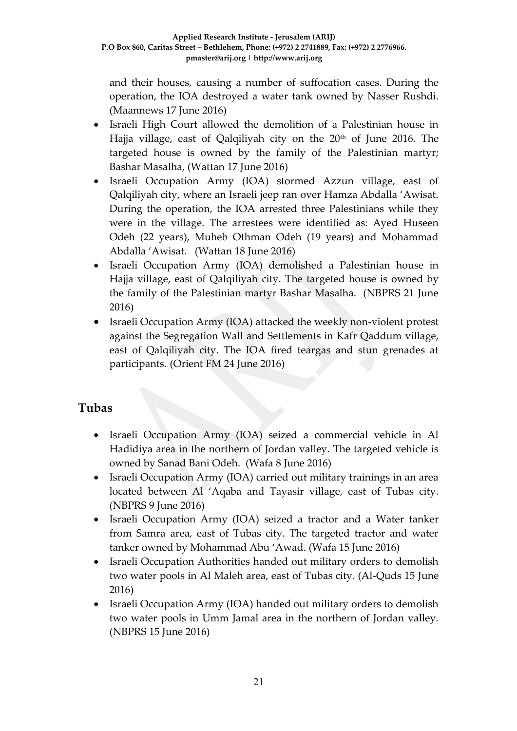and their houses, causing a number of suffocation cases. During the operation, the IOA destroyed a water tank owned by Nasser Rushdi. (Maannews 17 June 2016)

- Israeli High Court allowed the demolition of a Palestinian house in Hajja village, east of Qalqiliyah city on the 20<sup>th</sup> of June 2016. The targeted house is owned by the family of the Palestinian martyr; Bashar Masalha, (Wattan 17 June 2016)
- Israeli Occupation Army (IOA) stormed Azzun village, east of Qalqiliyah city, where an Israeli jeep ran over Hamza Abdalla 'Awisat. During the operation, the IOA arrested three Palestinians while they were in the village. The arrestees were identified as: Ayed Huseen Odeh (22 years), Muheb Othman Odeh (19 years) and Mohammad Abdalla 'Awisat. (Wattan 18 June 2016)
- Israeli Occupation Army (IOA) demolished a Palestinian house in Hajja village, east of Qalqiliyah city. The targeted house is owned by the family of the Palestinian martyr Bashar Masalha. (NBPRS 21 June 2016)
- Israeli Occupation Army (IOA) attacked the weekly non-violent protest against the Segregation Wall and Settlements in Kafr Qaddum village, east of Qalqiliyah city. The IOA fired teargas and stun grenades at participants. (Orient FM 24 June 2016)

### **Tubas**

- Israeli Occupation Army (IOA) seized a commercial vehicle in Al Hadidiya area in the northern of Jordan valley. The targeted vehicle is owned by Sanad Bani Odeh. (Wafa 8 June 2016)
- Israeli Occupation Army (IOA) carried out military trainings in an area located between Al 'Aqaba and Tayasir village, east of Tubas city. (NBPRS 9 June 2016)
- Israeli Occupation Army (IOA) seized a tractor and a Water tanker from Samra area, east of Tubas city. The targeted tractor and water tanker owned by Mohammad Abu 'Awad. (Wafa 15 June 2016)
- Israeli Occupation Authorities handed out military orders to demolish two water pools in Al Maleh area, east of Tubas city. (Al-Quds 15 June 2016)
- Israeli Occupation Army (IOA) handed out military orders to demolish two water pools in Umm Jamal area in the northern of Jordan valley. (NBPRS 15 June 2016)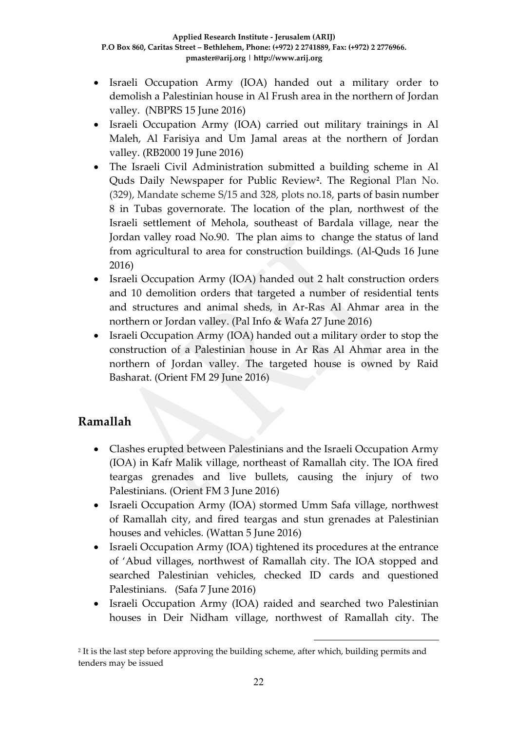- Israeli Occupation Army (IOA) handed out a military order to demolish a Palestinian house in Al Frush area in the northern of Jordan valley. (NBPRS 15 June 2016)
- Israeli Occupation Army (IOA) carried out military trainings in Al Maleh, Al Farisiya and Um Jamal areas at the northern of Jordan valley. (RB2000 19 June 2016)
- The Israeli Civil Administration submitted a building scheme in Al Quds Daily Newspaper for Public Review**<sup>2</sup>** . The Regional Plan No. (329), Mandate scheme S/15 and 328, plots no.18, parts of basin number 8 in Tubas governorate. The location of the plan, northwest of the Israeli settlement of Mehola, southeast of Bardala village, near the Jordan valley road No.90. The plan aims to change the status of land from agricultural to area for construction buildings. (Al-Quds 16 June 2016)
- Israeli Occupation Army (IOA) handed out 2 halt construction orders and 10 demolition orders that targeted a number of residential tents and structures and animal sheds, in Ar-Ras Al Ahmar area in the northern or Jordan valley. (Pal Info & Wafa 27 June 2016)
- Israeli Occupation Army (IOA) handed out a military order to stop the construction of a Palestinian house in Ar Ras Al Ahmar area in the northern of Jordan valley. The targeted house is owned by Raid Basharat. (Orient FM 29 June 2016)

## **Ramallah**

- Clashes erupted between Palestinians and the Israeli Occupation Army (IOA) in Kafr Malik village, northeast of Ramallah city. The IOA fired teargas grenades and live bullets, causing the injury of two Palestinians. (Orient FM 3 June 2016)
- Israeli Occupation Army (IOA) stormed Umm Safa village, northwest of Ramallah city, and fired teargas and stun grenades at Palestinian houses and vehicles. (Wattan 5 June 2016)
- Israeli Occupation Army (IOA) tightened its procedures at the entrance of 'Abud villages, northwest of Ramallah city. The IOA stopped and searched Palestinian vehicles, checked ID cards and questioned Palestinians. (Safa 7 June 2016)
- Israeli Occupation Army (IOA) raided and searched two Palestinian houses in Deir Nidham village, northwest of Ramallah city. The

1

2 It is the last step before approving the building scheme, after which, building permits and tenders may be issued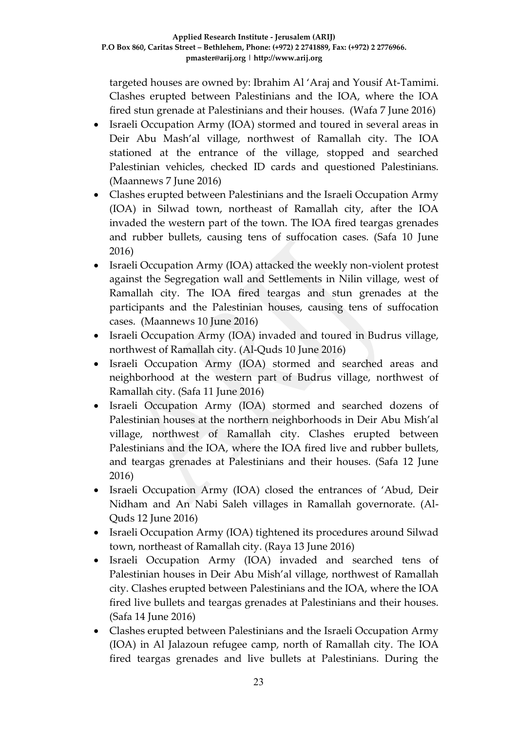targeted houses are owned by: Ibrahim Al 'Araj and Yousif At-Tamimi. Clashes erupted between Palestinians and the IOA, where the IOA fired stun grenade at Palestinians and their houses. (Wafa 7 June 2016)

- Israeli Occupation Army (IOA) stormed and toured in several areas in Deir Abu Mash'al village, northwest of Ramallah city. The IOA stationed at the entrance of the village, stopped and searched Palestinian vehicles, checked ID cards and questioned Palestinians. (Maannews 7 June 2016)
- Clashes erupted between Palestinians and the Israeli Occupation Army (IOA) in Silwad town, northeast of Ramallah city, after the IOA invaded the western part of the town. The IOA fired teargas grenades and rubber bullets, causing tens of suffocation cases. (Safa 10 June 2016)
- Israeli Occupation Army (IOA) attacked the weekly non-violent protest against the Segregation wall and Settlements in Nilin village, west of Ramallah city. The IOA fired teargas and stun grenades at the participants and the Palestinian houses, causing tens of suffocation cases. (Maannews 10 June 2016)
- Israeli Occupation Army (IOA) invaded and toured in Budrus village, northwest of Ramallah city. (Al-Quds 10 June 2016)
- Israeli Occupation Army (IOA) stormed and searched areas and neighborhood at the western part of Budrus village, northwest of Ramallah city. (Safa 11 June 2016)
- Israeli Occupation Army (IOA) stormed and searched dozens of Palestinian houses at the northern neighborhoods in Deir Abu Mish'al village, northwest of Ramallah city. Clashes erupted between Palestinians and the IOA, where the IOA fired live and rubber bullets, and teargas grenades at Palestinians and their houses. (Safa 12 June 2016)
- Israeli Occupation Army (IOA) closed the entrances of 'Abud, Deir Nidham and An Nabi Saleh villages in Ramallah governorate. (Al-Quds 12 June 2016)
- Israeli Occupation Army (IOA) tightened its procedures around Silwad town, northeast of Ramallah city. (Raya 13 June 2016)
- Israeli Occupation Army (IOA) invaded and searched tens of Palestinian houses in Deir Abu Mish'al village, northwest of Ramallah city. Clashes erupted between Palestinians and the IOA, where the IOA fired live bullets and teargas grenades at Palestinians and their houses. (Safa 14 June 2016)
- Clashes erupted between Palestinians and the Israeli Occupation Army (IOA) in Al Jalazoun refugee camp, north of Ramallah city. The IOA fired teargas grenades and live bullets at Palestinians. During the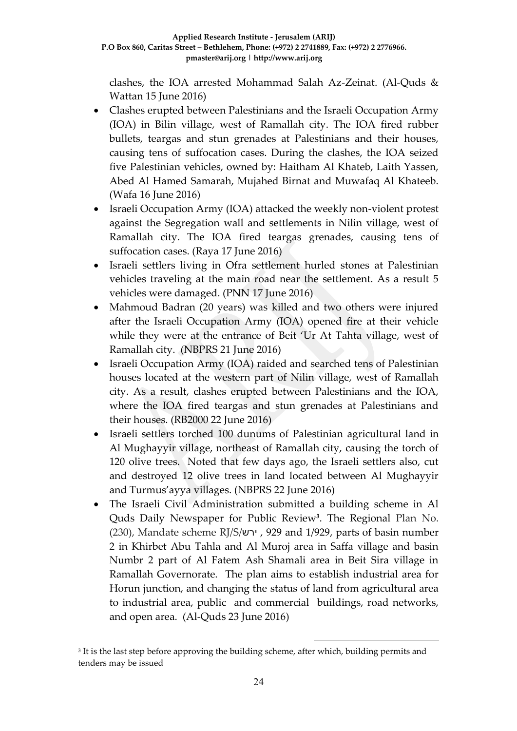clashes, the IOA arrested Mohammad Salah Az-Zeinat. (Al-Quds & Wattan 15 June 2016)

- Clashes erupted between Palestinians and the Israeli Occupation Army (IOA) in Bilin village, west of Ramallah city. The IOA fired rubber bullets, teargas and stun grenades at Palestinians and their houses, causing tens of suffocation cases. During the clashes, the IOA seized five Palestinian vehicles, owned by: Haitham Al Khateb, Laith Yassen, Abed Al Hamed Samarah, Mujahed Birnat and Muwafaq Al Khateeb. (Wafa 16 June 2016)
- Israeli Occupation Army (IOA) attacked the weekly non-violent protest against the Segregation wall and settlements in Nilin village, west of Ramallah city. The IOA fired teargas grenades, causing tens of suffocation cases. (Raya 17 June 2016)
- Israeli settlers living in Ofra settlement hurled stones at Palestinian vehicles traveling at the main road near the settlement. As a result 5 vehicles were damaged. (PNN 17 June 2016)
- Mahmoud Badran (20 years) was killed and two others were injured after the Israeli Occupation Army (IOA) opened fire at their vehicle while they were at the entrance of Beit 'Ur At Tahta village, west of Ramallah city. (NBPRS 21 June 2016)
- Israeli Occupation Army (IOA) raided and searched tens of Palestinian houses located at the western part of Nilin village, west of Ramallah city. As a result, clashes erupted between Palestinians and the IOA, where the IOA fired teargas and stun grenades at Palestinians and their houses. (RB2000 22 June 2016)
- Israeli settlers torched 100 dunums of Palestinian agricultural land in Al Mughayyir village, northeast of Ramallah city, causing the torch of 120 olive trees. Noted that few days ago, the Israeli settlers also, cut and destroyed 12 olive trees in land located between Al Mughayyir and Turmus'ayya villages. (NBPRS 22 June 2016)
- The Israeli Civil Administration submitted a building scheme in Al Quds Daily Newspaper for Public Review**<sup>3</sup>** . The Regional Plan No. (230), Mandate scheme RJ/S/ירש , 929 and 1/929, parts of basin number 2 in Khirbet Abu Tahla and Al Muroj area in Saffa village and basin Numbr 2 part of Al Fatem Ash Shamali area in Beit Sira village in Ramallah Governorate. The plan aims to establish industrial area for Horun junction, and changing the status of land from agricultural area to industrial area, public and commercial buildings, road networks, and open area. (Al-Quds 23 June 2016)

1

<sup>3</sup> It is the last step before approving the building scheme, after which, building permits and tenders may be issued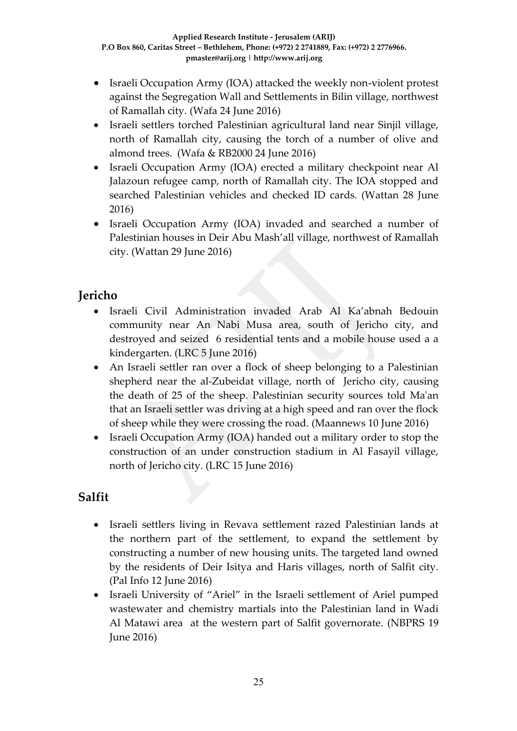- Israeli Occupation Army (IOA) attacked the weekly non-violent protest against the Segregation Wall and Settlements in Bilin village, northwest of Ramallah city. (Wafa 24 June 2016)
- Israeli settlers torched Palestinian agricultural land near Sinjil village, north of Ramallah city, causing the torch of a number of olive and almond trees. (Wafa & RB2000 24 June 2016)
- Israeli Occupation Army (IOA) erected a military checkpoint near Al Jalazoun refugee camp, north of Ramallah city. The IOA stopped and searched Palestinian vehicles and checked ID cards. (Wattan 28 June 2016)
- Israeli Occupation Army (IOA) invaded and searched a number of Palestinian houses in Deir Abu Mash'all village, northwest of Ramallah city. (Wattan 29 June 2016)

## **Jericho**

- Israeli Civil Administration invaded Arab Al Ka'abnah Bedouin community near An Nabi Musa area, south of Jericho city, and destroyed and seized 6 residential tents and a mobile house used a a kindergarten. (LRC 5 June 2016)
- An Israeli settler ran over a flock of sheep belonging to a Palestinian shepherd near the al-Zubeidat village, north of Jericho city, causing the death of 25 of the sheep. Palestinian security sources told Ma'an that an Israeli settler was driving at a high speed and ran over the flock of sheep while they were crossing the road. (Maannews 10 June 2016)
- Israeli Occupation Army (IOA) handed out a military order to stop the construction of an under construction stadium in Al Fasayil village, north of Jericho city. (LRC 15 June 2016)

# **Salfit**

- Israeli settlers living in Revava settlement razed Palestinian lands at the northern part of the settlement, to expand the settlement by constructing a number of new housing units. The targeted land owned by the residents of Deir Isitya and Haris villages, north of Salfit city. (Pal Info 12 June 2016)
- Israeli University of "Ariel" in the Israeli settlement of Ariel pumped wastewater and chemistry martials into the Palestinian land in Wadi Al Matawi area at the western part of Salfit governorate. (NBPRS 19 June 2016)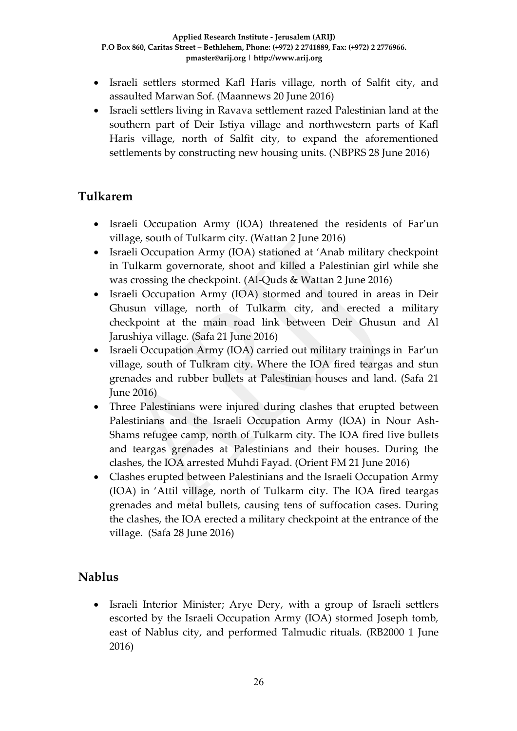- Israeli settlers stormed Kafl Haris village, north of Salfit city, and assaulted Marwan Sof. (Maannews 20 June 2016)
- Israeli settlers living in Ravava settlement razed Palestinian land at the southern part of Deir Istiya village and northwestern parts of Kafl Haris village, north of Salfit city, to expand the aforementioned settlements by constructing new housing units. (NBPRS 28 June 2016)

### **Tulkarem**

- Israeli Occupation Army (IOA) threatened the residents of Far'un village, south of Tulkarm city. (Wattan 2 June 2016)
- Israeli Occupation Army (IOA) stationed at 'Anab military checkpoint in Tulkarm governorate, shoot and killed a Palestinian girl while she was crossing the checkpoint. (Al-Quds & Wattan 2 June 2016)
- Israeli Occupation Army (IOA) stormed and toured in areas in Deir Ghusun village, north of Tulkarm city, and erected a military checkpoint at the main road link between Deir Ghusun and Al Jarushiya village. (Safa 21 June 2016)
- Israeli Occupation Army (IOA) carried out military trainings in Far'un village, south of Tulkram city. Where the IOA fired teargas and stun grenades and rubber bullets at Palestinian houses and land. (Safa 21 June 2016)
- Three Palestinians were injured during clashes that erupted between Palestinians and the Israeli Occupation Army (IOA) in Nour Ash-Shams refugee camp, north of Tulkarm city. The IOA fired live bullets and teargas grenades at Palestinians and their houses. During the clashes, the IOA arrested Muhdi Fayad. (Orient FM 21 June 2016)
- Clashes erupted between Palestinians and the Israeli Occupation Army (IOA) in 'Attil village, north of Tulkarm city. The IOA fired teargas grenades and metal bullets, causing tens of suffocation cases. During the clashes, the IOA erected a military checkpoint at the entrance of the village. (Safa 28 June 2016)

## **Nablus**

• Israeli Interior Minister; Arye Dery, with a group of Israeli settlers escorted by the Israeli Occupation Army (IOA) stormed Joseph tomb, east of Nablus city, and performed Talmudic rituals. (RB2000 1 June 2016)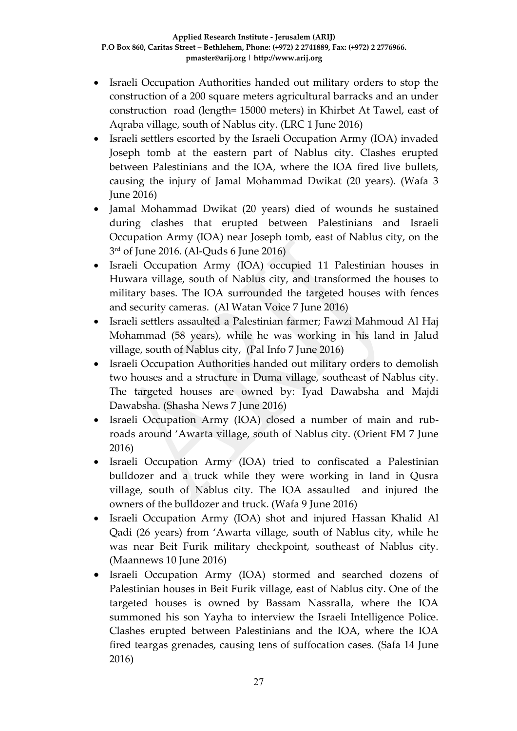- Israeli Occupation Authorities handed out military orders to stop the construction of a 200 square meters agricultural barracks and an under construction road (length= 15000 meters) in Khirbet At Tawel, east of Aqraba village, south of Nablus city. (LRC 1 June 2016)
- Israeli settlers escorted by the Israeli Occupation Army (IOA) invaded Joseph tomb at the eastern part of Nablus city. Clashes erupted between Palestinians and the IOA, where the IOA fired live bullets, causing the injury of Jamal Mohammad Dwikat (20 years). (Wafa 3 June 2016)
- Jamal Mohammad Dwikat (20 years) died of wounds he sustained during clashes that erupted between Palestinians and Israeli Occupation Army (IOA) near Joseph tomb, east of Nablus city, on the 3 rd of June 2016. (Al-Quds 6 June 2016)
- Israeli Occupation Army (IOA) occupied 11 Palestinian houses in Huwara village, south of Nablus city, and transformed the houses to military bases. The IOA surrounded the targeted houses with fences and security cameras. (Al Watan Voice 7 June 2016)
- Israeli settlers assaulted a Palestinian farmer; Fawzi Mahmoud Al Haj Mohammad (58 years), while he was working in his land in Jalud village, south of Nablus city, (Pal Info 7 June 2016)
- Israeli Occupation Authorities handed out military orders to demolish two houses and a structure in Duma village, southeast of Nablus city. The targeted houses are owned by: Iyad Dawabsha and Majdi Dawabsha. (Shasha News 7 June 2016)
- Israeli Occupation Army (IOA) closed a number of main and rubroads around 'Awarta village, south of Nablus city. (Orient FM 7 June 2016)
- Israeli Occupation Army (IOA) tried to confiscated a Palestinian bulldozer and a truck while they were working in land in Qusra village, south of Nablus city. The IOA assaulted and injured the owners of the bulldozer and truck. (Wafa 9 June 2016)
- Israeli Occupation Army (IOA) shot and injured Hassan Khalid Al Qadi (26 years) from 'Awarta village, south of Nablus city, while he was near Beit Furik military checkpoint, southeast of Nablus city. (Maannews 10 June 2016)
- Israeli Occupation Army (IOA) stormed and searched dozens of Palestinian houses in Beit Furik village, east of Nablus city. One of the targeted houses is owned by Bassam Nassralla, where the IOA summoned his son Yayha to interview the Israeli Intelligence Police. Clashes erupted between Palestinians and the IOA, where the IOA fired teargas grenades, causing tens of suffocation cases. (Safa 14 June 2016)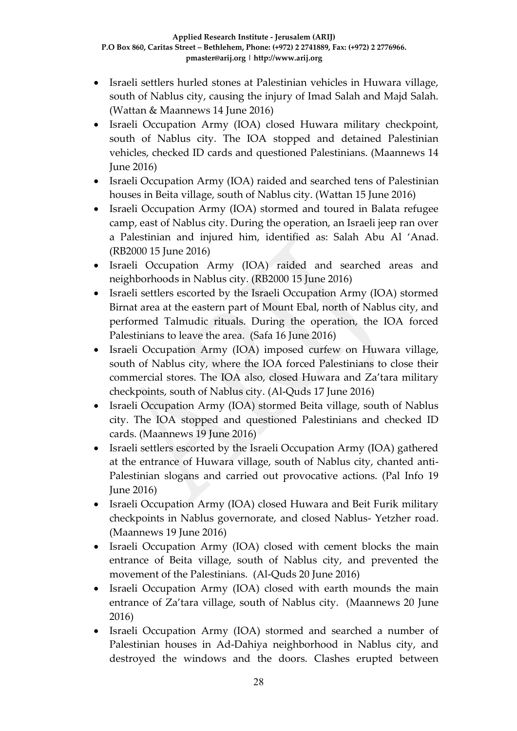- Israeli settlers hurled stones at Palestinian vehicles in Huwara village, south of Nablus city, causing the injury of Imad Salah and Majd Salah. (Wattan & Maannews 14 June 2016)
- Israeli Occupation Army (IOA) closed Huwara military checkpoint, south of Nablus city. The IOA stopped and detained Palestinian vehicles, checked ID cards and questioned Palestinians. (Maannews 14 June 2016)
- Israeli Occupation Army (IOA) raided and searched tens of Palestinian houses in Beita village, south of Nablus city. (Wattan 15 June 2016)
- Israeli Occupation Army (IOA) stormed and toured in Balata refugee camp, east of Nablus city. During the operation, an Israeli jeep ran over a Palestinian and injured him, identified as: Salah Abu Al 'Anad. (RB2000 15 June 2016)
- Israeli Occupation Army (IOA) raided and searched areas and neighborhoods in Nablus city. (RB2000 15 June 2016)
- Israeli settlers escorted by the Israeli Occupation Army (IOA) stormed Birnat area at the eastern part of Mount Ebal, north of Nablus city, and performed Talmudic rituals. During the operation, the IOA forced Palestinians to leave the area. (Safa 16 June 2016)
- Israeli Occupation Army (IOA) imposed curfew on Huwara village, south of Nablus city, where the IOA forced Palestinians to close their commercial stores. The IOA also, closed Huwara and Za'tara military checkpoints, south of Nablus city. (Al-Quds 17 June 2016)
- Israeli Occupation Army (IOA) stormed Beita village, south of Nablus city. The IOA stopped and questioned Palestinians and checked ID cards. (Maannews 19 June 2016)
- Israeli settlers escorted by the Israeli Occupation Army (IOA) gathered at the entrance of Huwara village, south of Nablus city, chanted anti-Palestinian slogans and carried out provocative actions. (Pal Info 19 June 2016)
- Israeli Occupation Army (IOA) closed Huwara and Beit Furik military checkpoints in Nablus governorate, and closed Nablus- Yetzher road. (Maannews 19 June 2016)
- Israeli Occupation Army (IOA) closed with cement blocks the main entrance of Beita village, south of Nablus city, and prevented the movement of the Palestinians. (Al-Quds 20 June 2016)
- Israeli Occupation Army (IOA) closed with earth mounds the main entrance of Za'tara village, south of Nablus city. (Maannews 20 June 2016)
- Israeli Occupation Army (IOA) stormed and searched a number of Palestinian houses in Ad-Dahiya neighborhood in Nablus city, and destroyed the windows and the doors. Clashes erupted between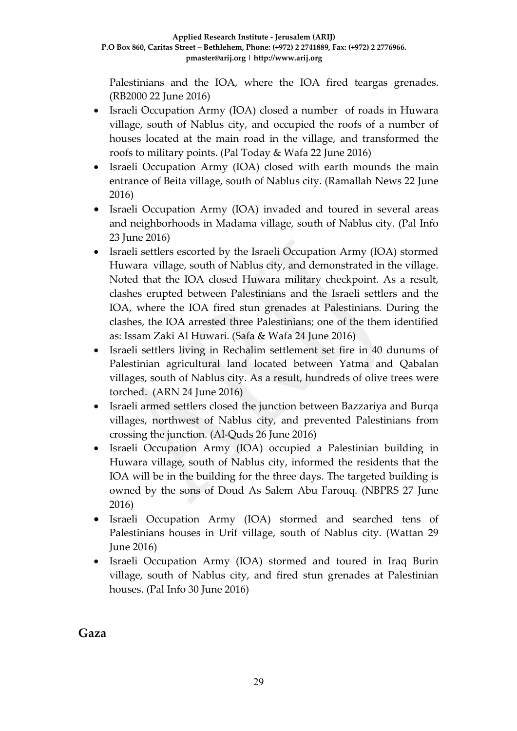Palestinians and the IOA, where the IOA fired teargas grenades. (RB2000 22 June 2016)

- Israeli Occupation Army (IOA) closed a number of roads in Huwara village, south of Nablus city, and occupied the roofs of a number of houses located at the main road in the village, and transformed the roofs to military points. (Pal Today & Wafa 22 June 2016)
- Israeli Occupation Army (IOA) closed with earth mounds the main entrance of Beita village, south of Nablus city. (Ramallah News 22 June 2016)
- Israeli Occupation Army (IOA) invaded and toured in several areas and neighborhoods in Madama village, south of Nablus city. (Pal Info 23 June 2016)
- Israeli settlers escorted by the Israeli Occupation Army (IOA) stormed Huwara village, south of Nablus city, and demonstrated in the village. Noted that the IOA closed Huwara military checkpoint. As a result, clashes erupted between Palestinians and the Israeli settlers and the IOA, where the IOA fired stun grenades at Palestinians. During the clashes, the IOA arrested three Palestinians; one of the them identified as: Issam Zaki Al Huwari. (Safa & Wafa 24 June 2016)
- Israeli settlers living in Rechalim settlement set fire in 40 dunums of Palestinian agricultural land located between Yatma and Qabalan villages, south of Nablus city. As a result, hundreds of olive trees were torched. (ARN 24 June 2016)
- Israeli armed settlers closed the junction between Bazzariya and Burqa villages, northwest of Nablus city, and prevented Palestinians from crossing the junction. (Al-Quds 26 June 2016)
- Israeli Occupation Army (IOA) occupied a Palestinian building in Huwara village, south of Nablus city, informed the residents that the IOA will be in the building for the three days. The targeted building is owned by the sons of Doud As Salem Abu Farouq. (NBPRS 27 June 2016)
- Israeli Occupation Army (IOA) stormed and searched tens of Palestinians houses in Urif village, south of Nablus city. (Wattan 29 June 2016)
- Israeli Occupation Army (IOA) stormed and toured in Iraq Burin village, south of Nablus city, and fired stun grenades at Palestinian houses. (Pal Info 30 June 2016)

**Gaza**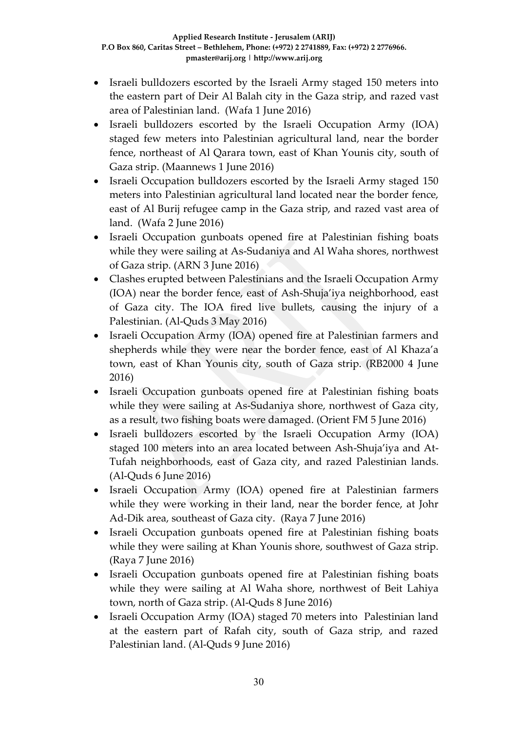- Israeli bulldozers escorted by the Israeli Army staged 150 meters into the eastern part of Deir Al Balah city in the Gaza strip, and razed vast area of Palestinian land. (Wafa 1 June 2016)
- Israeli bulldozers escorted by the Israeli Occupation Army (IOA) staged few meters into Palestinian agricultural land, near the border fence, northeast of Al Qarara town, east of Khan Younis city, south of Gaza strip. (Maannews 1 June 2016)
- Israeli Occupation bulldozers escorted by the Israeli Army staged 150 meters into Palestinian agricultural land located near the border fence, east of Al Burij refugee camp in the Gaza strip, and razed vast area of land. (Wafa 2 June 2016)
- Israeli Occupation gunboats opened fire at Palestinian fishing boats while they were sailing at As-Sudaniya and Al Waha shores, northwest of Gaza strip. (ARN 3 June 2016)
- Clashes erupted between Palestinians and the Israeli Occupation Army (IOA) near the border fence, east of Ash-Shuja'iya neighborhood, east of Gaza city. The IOA fired live bullets, causing the injury of a Palestinian. (Al-Quds 3 May 2016)
- Israeli Occupation Army (IOA) opened fire at Palestinian farmers and shepherds while they were near the border fence, east of Al Khaza'a town, east of Khan Younis city, south of Gaza strip. (RB2000 4 June 2016)
- Israeli Occupation gunboats opened fire at Palestinian fishing boats while they were sailing at As-Sudaniya shore, northwest of Gaza city, as a result, two fishing boats were damaged. (Orient FM 5 June 2016)
- Israeli bulldozers escorted by the Israeli Occupation Army (IOA) staged 100 meters into an area located between Ash-Shuja'iya and At-Tufah neighborhoods, east of Gaza city, and razed Palestinian lands. (Al-Quds 6 June 2016)
- Israeli Occupation Army (IOA) opened fire at Palestinian farmers while they were working in their land, near the border fence, at Johr Ad-Dik area, southeast of Gaza city. (Raya 7 June 2016)
- Israeli Occupation gunboats opened fire at Palestinian fishing boats while they were sailing at Khan Younis shore, southwest of Gaza strip. (Raya 7 June 2016)
- Israeli Occupation gunboats opened fire at Palestinian fishing boats while they were sailing at Al Waha shore, northwest of Beit Lahiya town, north of Gaza strip. (Al-Quds 8 June 2016)
- Israeli Occupation Army (IOA) staged 70 meters into Palestinian land at the eastern part of Rafah city, south of Gaza strip, and razed Palestinian land. (Al-Quds 9 June 2016)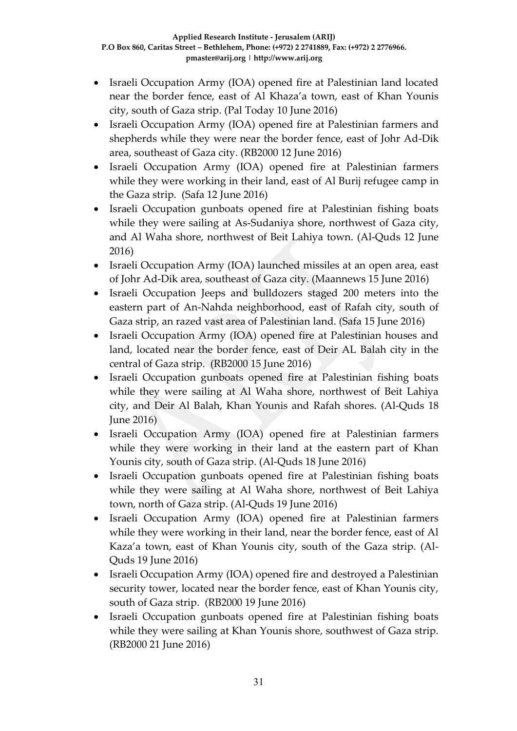- Israeli Occupation Army (IOA) opened fire at Palestinian land located near the border fence, east of Al Khaza'a town, east of Khan Younis city, south of Gaza strip. (Pal Today 10 June 2016)
- Israeli Occupation Army (IOA) opened fire at Palestinian farmers and shepherds while they were near the border fence, east of Johr Ad-Dik area, southeast of Gaza city. (RB2000 12 June 2016)
- Israeli Occupation Army (IOA) opened fire at Palestinian farmers while they were working in their land, east of Al Burij refugee camp in the Gaza strip. (Safa 12 June 2016)
- Israeli Occupation gunboats opened fire at Palestinian fishing boats while they were sailing at As-Sudaniya shore, northwest of Gaza city, and Al Waha shore, northwest of Beit Lahiya town. (Al-Quds 12 June 2016)
- Israeli Occupation Army (IOA) launched missiles at an open area, east of Johr Ad-Dik area, southeast of Gaza city. (Maannews 15 June 2016)
- Israeli Occupation Jeeps and bulldozers staged 200 meters into the eastern part of An-Nahda neighborhood, east of Rafah city, south of Gaza strip, an razed vast area of Palestinian land. (Safa 15 June 2016)
- Israeli Occupation Army (IOA) opened fire at Palestinian houses and land, located near the border fence, east of Deir AL Balah city in the central of Gaza strip. (RB2000 15 June 2016)
- Israeli Occupation gunboats opened fire at Palestinian fishing boats while they were sailing at Al Waha shore, northwest of Beit Lahiya city, and Deir Al Balah, Khan Younis and Rafah shores. (Al-Quds 18 June 2016)
- Israeli Occupation Army (IOA) opened fire at Palestinian farmers while they were working in their land at the eastern part of Khan Younis city, south of Gaza strip. (Al-Quds 18 June 2016)
- Israeli Occupation gunboats opened fire at Palestinian fishing boats while they were sailing at Al Waha shore, northwest of Beit Lahiya town, north of Gaza strip. (Al-Quds 19 June 2016)
- Israeli Occupation Army (IOA) opened fire at Palestinian farmers while they were working in their land, near the border fence, east of Al Kaza'a town, east of Khan Younis city, south of the Gaza strip. (Al-Quds 19 June 2016)
- Israeli Occupation Army (IOA) opened fire and destroyed a Palestinian security tower, located near the border fence, east of Khan Younis city, south of Gaza strip. (RB2000 19 June 2016)
- Israeli Occupation gunboats opened fire at Palestinian fishing boats while they were sailing at Khan Younis shore, southwest of Gaza strip. (RB2000 21 June 2016)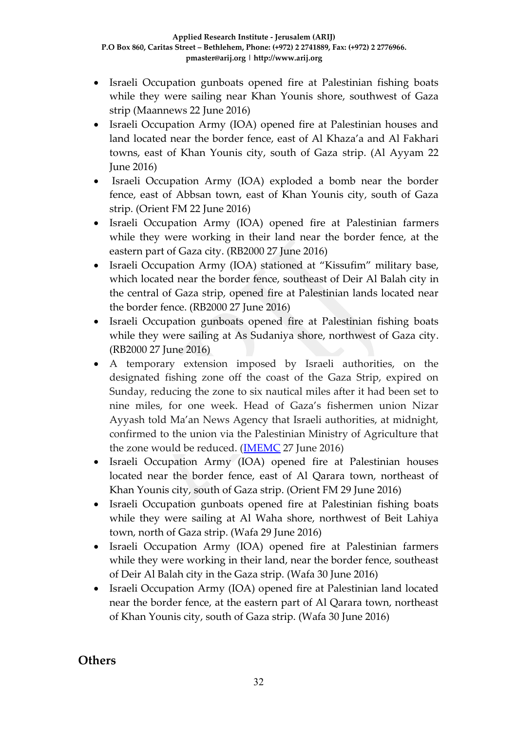- Israeli Occupation gunboats opened fire at Palestinian fishing boats while they were sailing near Khan Younis shore, southwest of Gaza strip (Maannews 22 June 2016)
- Israeli Occupation Army (IOA) opened fire at Palestinian houses and land located near the border fence, east of Al Khaza'a and Al Fakhari towns, east of Khan Younis city, south of Gaza strip. (Al Ayyam 22 June 2016)
- Israeli Occupation Army (IOA) exploded a bomb near the border fence, east of Abbsan town, east of Khan Younis city, south of Gaza strip. (Orient FM 22 June 2016)
- Israeli Occupation Army (IOA) opened fire at Palestinian farmers while they were working in their land near the border fence, at the eastern part of Gaza city. (RB2000 27 June 2016)
- Israeli Occupation Army (IOA) stationed at "Kissufim" military base, which located near the border fence, southeast of Deir Al Balah city in the central of Gaza strip, opened fire at Palestinian lands located near the border fence. (RB2000 27 June 2016)
- Israeli Occupation gunboats opened fire at Palestinian fishing boats while they were sailing at As Sudaniya shore, northwest of Gaza city. (RB2000 27 June 2016)
- A temporary extension imposed by Israeli authorities, on the designated fishing zone off the coast of the Gaza Strip, expired on Sunday, reducing the zone to six nautical miles after it had been set to nine miles, for one week. Head of Gaza's fishermen union Nizar Ayyash told Ma'an News Agency that Israeli authorities, at midnight, confirmed to the union via the Palestinian Ministry of Agriculture that the zone would be reduced. [\(IMEMC](http://imemc.org/article/gaza-temporary-extension-of-fishing-zone-expires/) 27 June 2016)
- Israeli Occupation Army (IOA) opened fire at Palestinian houses located near the border fence, east of Al Qarara town, northeast of Khan Younis city, south of Gaza strip. (Orient FM 29 June 2016)
- Israeli Occupation gunboats opened fire at Palestinian fishing boats while they were sailing at Al Waha shore, northwest of Beit Lahiya town, north of Gaza strip. (Wafa 29 June 2016)
- Israeli Occupation Army (IOA) opened fire at Palestinian farmers while they were working in their land, near the border fence, southeast of Deir Al Balah city in the Gaza strip. (Wafa 30 June 2016)
- Israeli Occupation Army (IOA) opened fire at Palestinian land located near the border fence, at the eastern part of Al Qarara town, northeast of Khan Younis city, south of Gaza strip. (Wafa 30 June 2016)

### **Others**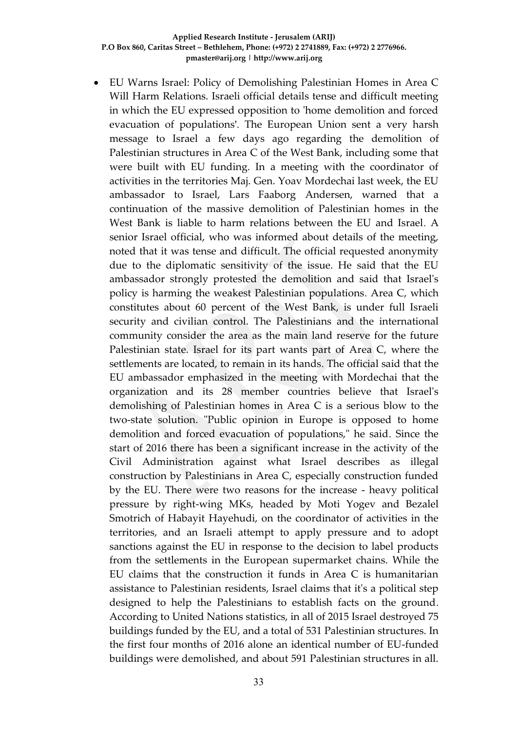EU Warns Israel: Policy of Demolishing Palestinian Homes in Area C Will Harm Relations. Israeli official details tense and difficult meeting in which the EU expressed opposition to 'home demolition and forced evacuation of populations'. The European Union sent a very harsh message to Israel a few days ago regarding the demolition of Palestinian structures in Area C of the West Bank, including some that were built with EU funding. In a meeting with the coordinator of activities in the territories Maj. Gen. Yoav Mordechai last week, the EU ambassador to Israel, Lars Faaborg Andersen, warned that a continuation of the massive demolition of Palestinian homes in the West Bank is liable to harm relations between the EU and Israel. A senior Israel official, who was informed about details of the meeting, noted that it was tense and difficult. The official requested anonymity due to the diplomatic sensitivity of the issue. He said that the EU ambassador strongly protested the demolition and said that Israel's policy is harming the weakest Palestinian populations. Area C, which constitutes about 60 percent of the West Bank, is under full Israeli security and civilian control. The Palestinians and the international community consider the area as the main land reserve for the future Palestinian state. Israel for its part wants part of Area C, where the settlements are located, to remain in its hands. The official said that the EU ambassador emphasized in the meeting with Mordechai that the organization and its 28 member countries believe that Israel's demolishing of Palestinian homes in Area C is a serious blow to the two-state solution. "Public opinion in Europe is opposed to home demolition and forced evacuation of populations," he said. Since the start of 2016 there has been a significant increase in the activity of the Civil Administration against what Israel describes as illegal construction by Palestinians in Area C, especially construction funded by the EU. There were two reasons for the increase - heavy political pressure by right-wing MKs, headed by Moti Yogev and Bezalel Smotrich of Habayit Hayehudi, on the coordinator of activities in the territories, and an Israeli attempt to apply pressure and to adopt sanctions against the EU in response to the decision to label products from the settlements in the European supermarket chains. While the EU claims that the construction it funds in Area C is humanitarian assistance to Palestinian residents, Israel claims that it's a political step designed to help the Palestinians to establish facts on the ground. According to United Nations statistics, in all of 2015 Israel destroyed 75 buildings funded by the EU, and a total of 531 Palestinian structures. In the first four months of 2016 alone an identical number of EU-funded buildings were demolished, and about 591 Palestinian structures in all.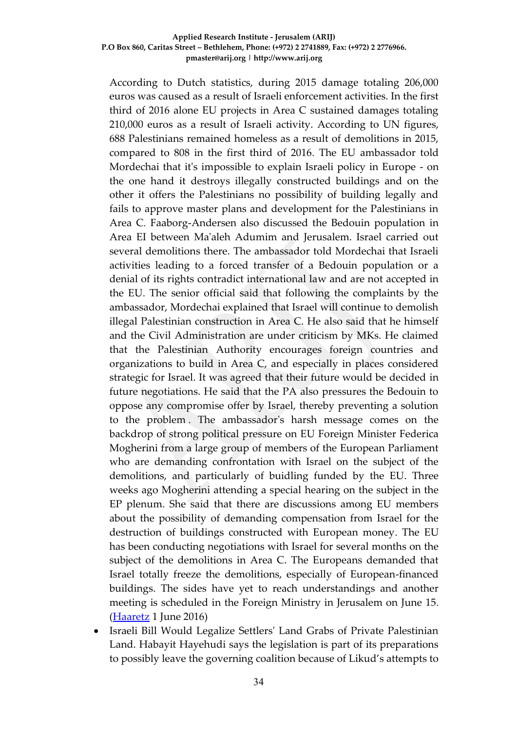According to Dutch statistics, during 2015 damage totaling 206,000 euros was caused as a result of Israeli enforcement activities. In the first third of 2016 alone EU projects in Area C sustained damages totaling 210,000 euros as a result of Israeli activity. According to UN figures, 688 Palestinians remained homeless as a result of demolitions in 2015, compared to 808 in the first third of 2016. The EU ambassador told Mordechai that it's impossible to explain Israeli policy in Europe - on the one hand it destroys illegally constructed buildings and on the other it offers the Palestinians no possibility of building legally and fails to approve master plans and development for the Palestinians in Area C. Faaborg-Andersen also discussed the Bedouin population in Area EI between Ma'aleh Adumim and Jerusalem. Israel carried out several demolitions there. The ambassador told Mordechai that Israeli activities leading to a forced transfer of a Bedouin population or a denial of its rights contradict international law and are not accepted in the EU. The senior official said that following the complaints by the ambassador, Mordechai explained that Israel will continue to demolish illegal Palestinian construction in Area C. He also said that he himself and the Civil Administration are under criticism by MKs. He claimed that the Palestinian Authority encourages foreign countries and organizations to build in Area C, and especially in places considered strategic for Israel. It was agreed that their future would be decided in future negotiations. He said that the PA also pressures the Bedouin to oppose any compromise offer by Israel, thereby preventing a solution to the problem . The ambassador's harsh message comes on the backdrop of strong political pressure on EU Foreign Minister Federica Mogherini from a large group of members of the European Parliament who are demanding confrontation with Israel on the subject of the demolitions, and particularly of buidling funded by the EU. Three weeks ago Mogherini attending a special hearing on the subject in the EP plenum. She said that there are discussions among EU members about the possibility of demanding compensation from Israel for the destruction of buildings constructed with European money. The EU has been conducting negotiations with Israel for several months on the subject of the demolitions in Area C. The Europeans demanded that Israel totally freeze the demolitions, especially of European-financed buildings. The sides have yet to reach understandings and another meeting is scheduled in the Foreign Ministry in Jerusalem on June 15. [\(Haaretz](http://www.haaretz.com/israel-news/.premium-1.722519) 1 June 2016)

 Israeli Bill Would Legalize Settlers' Land Grabs of Private Palestinian Land. Habayit Hayehudi says the legislation is part of its preparations to possibly leave the governing coalition because of Likud's attempts to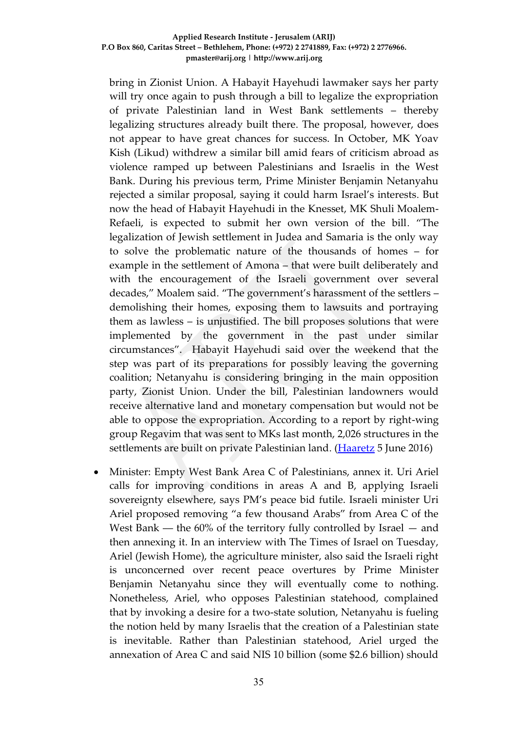bring in Zionist Union. A Habayit Hayehudi lawmaker says her party will try once again to push through a bill to legalize the expropriation of private Palestinian land in West Bank settlements – thereby legalizing structures already built there. The proposal, however, does not appear to have great chances for success. In October, MK Yoav Kish (Likud) withdrew a similar bill amid fears of criticism abroad as violence ramped up between Palestinians and Israelis in the West Bank. During his previous term, Prime Minister Benjamin Netanyahu rejected a similar proposal, saying it could harm Israel's interests. But now the head of Habayit Hayehudi in the Knesset, MK Shuli Moalem-Refaeli, is expected to submit her own version of the bill. "The legalization of Jewish settlement in Judea and Samaria is the only way to solve the problematic nature of the thousands of homes – for example in the settlement of Amona – that were built deliberately and with the encouragement of the Israeli government over several decades," Moalem said. "The government's harassment of the settlers – demolishing their homes, exposing them to lawsuits and portraying them as lawless – is unjustified. The bill proposes solutions that were implemented by the government in the past under similar circumstances". Habayit Hayehudi said over the weekend that the step was part of its preparations for possibly leaving the governing coalition; Netanyahu is considering bringing in the main opposition party, Zionist Union. Under the bill, Palestinian landowners would receive alternative land and monetary compensation but would not be able to oppose the expropriation. According to a report by right-wing group Regavim that was sent to MKs last month, 2,026 structures in the settlements are built on private Palestinian land. [\(Haaretz](http://www.haaretz.com/israel-news/.premium-1.723181) 5 June 2016)

 Minister: Empty West Bank Area C of Palestinians, annex it. Uri Ariel calls for improving conditions in areas A and B, applying Israeli sovereignty elsewhere, says PM's peace bid futile. Israeli minister Uri Ariel proposed removing "a few thousand Arabs" from Area C of the West Bank  $-$  the 60% of the territory fully controlled by Israel  $-$  and then annexing it. In an interview with The Times of Israel on Tuesday, Ariel (Jewish Home), the agriculture minister, also said the Israeli right is unconcerned over recent peace overtures by Prime Minister Benjamin Netanyahu since they will eventually come to nothing. Nonetheless, Ariel, who opposes Palestinian statehood, complained that by invoking a desire for a two-state solution, Netanyahu is fueling the notion held by many Israelis that the creation of a Palestinian state is inevitable. Rather than Palestinian statehood, Ariel urged the annexation of Area C and said NIS 10 billion (some \$2.6 billion) should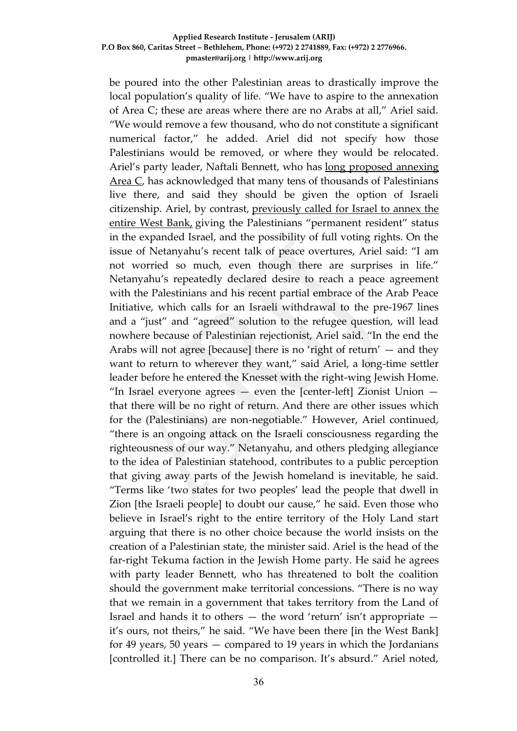be poured into the other Palestinian areas to drastically improve the local population's quality of life. "We have to aspire to the annexation of Area C; these are areas where there are no Arabs at all," Ariel said. "We would remove a few thousand, who do not constitute a significant numerical factor," he added. Ariel did not specify how those Palestinians would be removed, or where they would be relocated. Ariel's party leader, Naftali Bennett, who has long [proposed](http://www.timesofisrael.com/naftali-bennett-were-literally-the-border-between-islamic-state-and-the-free-world/) annexing [Area](http://www.timesofisrael.com/naftali-bennett-were-literally-the-border-between-islamic-state-and-the-free-world/) C, has acknowledged that many tens of thousands of Palestinians live there, and said they should be given the option of Israeli citizenship. Ariel, by contrast, [previously](http://www.timesofisrael.com/housing-minister-no-more-settlement-freezes/) called for Israel to annex the [entire](http://www.timesofisrael.com/housing-minister-no-more-settlement-freezes/) West Bank, giving the Palestinians "permanent resident" status in the expanded Israel, and the possibility of full voting rights. On the issue of Netanyahu's recent talk of peace overtures, Ariel said: "I am not worried so much, even though there are surprises in life." Netanyahu's repeatedly declared desire to reach a peace agreement with the Palestinians and his recent partial embrace of the Arab Peace Initiative, which calls for an Israeli withdrawal to the pre-1967 lines and a "just" and "agreed" solution to the refugee question, will lead nowhere because of Palestinian rejectionist, Ariel said. "In the end the Arabs will not agree [because] there is no 'right of return' — and they want to return to wherever they want," said Ariel, a long-time settler leader before he entered the Knesset with the right-wing Jewish Home. "In Israel everyone agrees  $-$  even the [center-left] Zionist Union  $$ that there will be no right of return. And there are other issues which for the (Palestinians) are non-negotiable." However, Ariel continued, "there is an ongoing attack on the Israeli consciousness regarding the righteousness of our way." Netanyahu, and others pledging allegiance to the idea of Palestinian statehood, contributes to a public perception that giving away parts of the Jewish homeland is inevitable, he said. "Terms like 'two states for two peoples' lead the people that dwell in Zion [the Israeli people] to doubt our cause," he said. Even those who believe in Israel's right to the entire territory of the Holy Land start arguing that there is no other choice because the world insists on the creation of a Palestinian state, the minister said. Ariel is the head of the far-right Tekuma faction in the Jewish Home party. He said he agrees with party leader Bennett, who has threatened to bolt the coalition should the government make territorial concessions. "There is no way that we remain in a government that takes territory from the Land of Israel and hands it to others — the word 'return' isn't appropriate it's ours, not theirs," he said. "We have been there [in the West Bank] for 49 years, 50 years — compared to 19 years in which the Jordanians [controlled it.] There can be no comparison. It's absurd." Ariel noted,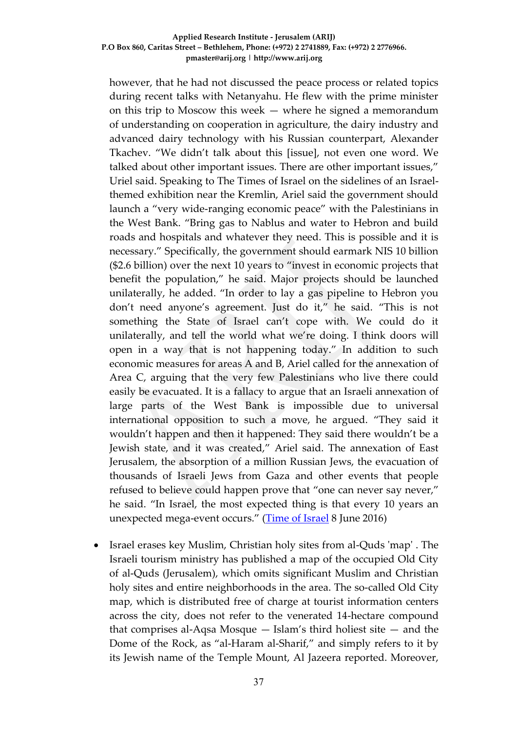however, that he had not discussed the peace process or related topics during recent talks with Netanyahu. He flew with the prime minister on this trip to Moscow this week — where he signed a memorandum of understanding on cooperation in agriculture, the dairy industry and advanced dairy technology with his Russian counterpart, Alexander Tkachev. "We didn't talk about this [issue], not even one word. We talked about other important issues. There are other important issues," Uriel said. Speaking to The Times of Israel on the sidelines of an Israelthemed exhibition near the Kremlin, Ariel said the government should launch a "very wide-ranging economic peace" with the Palestinians in the West Bank. "Bring gas to Nablus and water to Hebron and build roads and hospitals and whatever they need. This is possible and it is necessary." Specifically, the government should earmark NIS 10 billion (\$2.6 billion) over the next 10 years to "invest in economic projects that benefit the population," he said. Major projects should be launched unilaterally, he added. "In order to lay a gas pipeline to Hebron you don't need anyone's agreement. Just do it," he said. "This is not something the State of Israel can't cope with. We could do it unilaterally, and tell the world what we're doing. I think doors will open in a way that is not happening today." In addition to such economic measures for areas A and B, Ariel called for the annexation of Area C, arguing that the very few Palestinians who live there could easily be evacuated. It is a fallacy to argue that an Israeli annexation of large parts of the West Bank is impossible due to universal international opposition to such a move, he argued. "They said it wouldn't happen and then it happened: They said there wouldn't be a Jewish state, and it was created," Ariel said. The annexation of East Jerusalem, the absorption of a million Russian Jews, the evacuation of thousands of Israeli Jews from Gaza and other events that people refused to believe could happen prove that "one can never say never," he said. "In Israel, the most expected thing is that every 10 years an unexpected mega-event occurs." [\(Time of Israel](http://www.timesofisrael.com/israeli-minister-remove-palestinians-from-west-bank-area-c-annex-territory/) 8 June 2016)

 Israel erases key Muslim, Christian holy sites from al-Quds 'map' . The Israeli tourism ministry has published a map of the occupied Old City of al-Quds (Jerusalem), which omits significant Muslim and Christian holy sites and entire neighborhoods in the area. The so-called Old City map, which is distributed free of charge at tourist information centers across the city, does not refer to the venerated 14-hectare compound that comprises al-Aqsa Mosque — Islam's third holiest site — and the Dome of the Rock, as "al-Haram al-Sharif," and simply refers to it by its Jewish name of the Temple Mount, Al Jazeera reported. Moreover,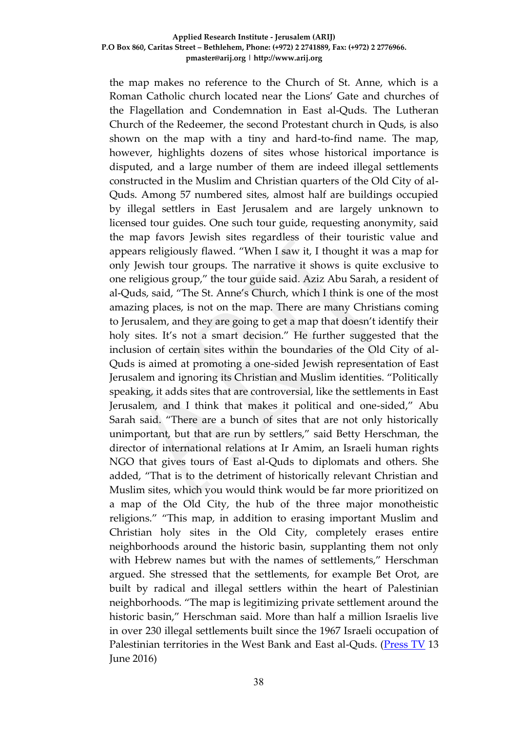the map makes no reference to the Church of St. Anne, which is a Roman Catholic church located near the Lions' Gate and churches of the Flagellation and Condemnation in East al-Quds. The Lutheran Church of the Redeemer, the second Protestant church in Quds, is also shown on the map with a tiny and hard-to-find name. The map, however, highlights dozens of sites whose historical importance is disputed, and a large number of them are indeed illegal settlements constructed in the Muslim and Christian quarters of the Old City of al-Quds. Among 57 numbered sites, almost half are buildings occupied by illegal settlers in East Jerusalem and are largely unknown to licensed tour guides. One such tour guide, requesting anonymity, said the map favors Jewish sites regardless of their touristic value and appears religiously flawed. "When I saw it, I thought it was a map for only Jewish tour groups. The narrative it shows is quite exclusive to one religious group," the tour guide said. Aziz Abu Sarah, a resident of al-Quds, said, "The St. Anne's Church, which I think is one of the most amazing places, is not on the map. There are many Christians coming to Jerusalem, and they are going to get a map that doesn't identify their holy sites. It's not a smart decision." He further suggested that the inclusion of certain sites within the boundaries of the Old City of al-Quds is aimed at promoting a one-sided Jewish representation of East Jerusalem and ignoring its Christian and Muslim identities. "Politically speaking, it adds sites that are controversial, like the settlements in East Jerusalem, and I think that makes it political and one-sided," Abu Sarah said. "There are a bunch of sites that are not only historically unimportant, but that are run by settlers," said Betty Herschman, the director of international relations at Ir Amim, an Israeli human rights NGO that gives tours of East al-Quds to diplomats and others. She added, "That is to the detriment of historically relevant Christian and Muslim sites, which you would think would be far more prioritized on a map of the Old City, the hub of the three major monotheistic religions." "This map, in addition to erasing important Muslim and Christian holy sites in the Old City, completely erases entire neighborhoods around the historic basin, supplanting them not only with Hebrew names but with the names of settlements," Herschman argued. She stressed that the settlements, for example Bet Orot, are built by radical and illegal settlers within the heart of Palestinian neighborhoods. "The map is legitimizing private settlement around the historic basin," Herschman said. More than half a million Israelis live in over 230 illegal settlements built since the 1967 Israeli occupation of Palestinian territories in the West Bank and East al-Quds. [\(Press TV](http://www.presstv.ir/Detail/2016/06/13/470192/Israel-tourism-ministry-map-Old-City-alQuds) 13 June 2016)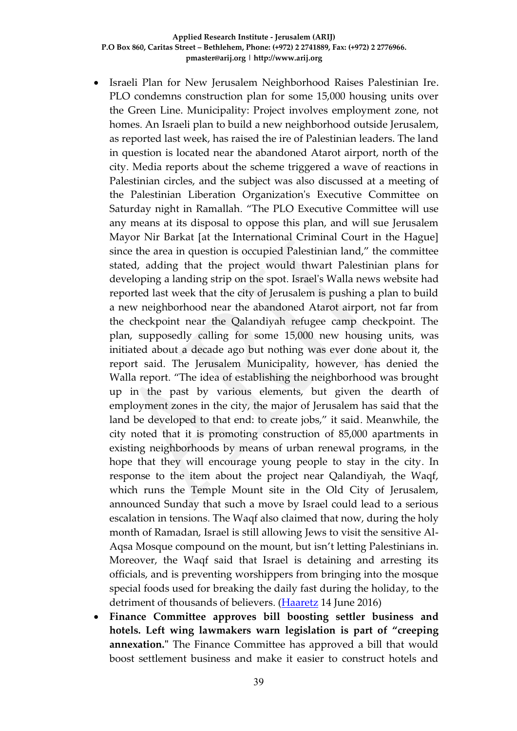- Israeli Plan for New Jerusalem Neighborhood Raises Palestinian Ire. PLO condemns construction plan for some 15,000 housing units over the Green Line. Municipality: Project involves employment zone, not homes. An Israeli plan to build a new neighborhood outside Jerusalem, as reported last week, has raised the ire of Palestinian leaders. The land in question is located near the abandoned Atarot airport, north of the city. Media reports about the scheme triggered a wave of reactions in Palestinian circles, and the subject was also discussed at a meeting of the Palestinian Liberation Organization's Executive Committee on Saturday night in Ramallah. "The PLO Executive Committee will use any means at its disposal to oppose this plan, and will sue Jerusalem Mayor Nir Barkat [at the International Criminal Court in the Hague] since the area in question is occupied Palestinian land," the committee stated, adding that the project would thwart Palestinian plans for developing a landing strip on the spot. Israel's Walla news website had reported last week that the city of Jerusalem is pushing a plan to build a new neighborhood near the abandoned Atarot airport, not far from the checkpoint near the Qalandiyah refugee camp checkpoint. The plan, supposedly calling for some 15,000 new housing units, was initiated about a decade ago but nothing was ever done about it, the report said. The Jerusalem Municipality, however, has denied the Walla report. "The idea of establishing the neighborhood was brought up in the past by various elements, but given the dearth of employment zones in the city, the major of Jerusalem has said that the land be developed to that end: to create jobs," it said. Meanwhile, the city noted that it is promoting construction of 85,000 apartments in existing neighborhoods by means of urban renewal programs, in the hope that they will encourage young people to stay in the city. In response to the item about the project near Qalandiyah, the Waqf, which runs the Temple Mount site in the Old City of Jerusalem, announced Sunday that such a move by Israel could lead to a serious escalation in tensions. The Waqf also claimed that now, during the holy month of Ramadan, Israel is still allowing Jews to visit the sensitive Al-Aqsa Mosque compound on the mount, but isn't letting Palestinians in. Moreover, the Waqf said that Israel is detaining and arresting its officials, and is preventing worshippers from bringing into the mosque special foods used for breaking the daily fast during the holiday, to the detriment of thousands of believers. [\(Haaretz](http://www.haaretz.com/israel-news/.premium-1.724705?date=1465884123991?date=1465884168013) 14 June 2016)
- **Finance Committee approves bill boosting settler business and hotels. Left wing lawmakers warn legislation is part of "creeping annexation."** The Finance Committee has approved a bill that would boost settlement business and make it easier to construct hotels and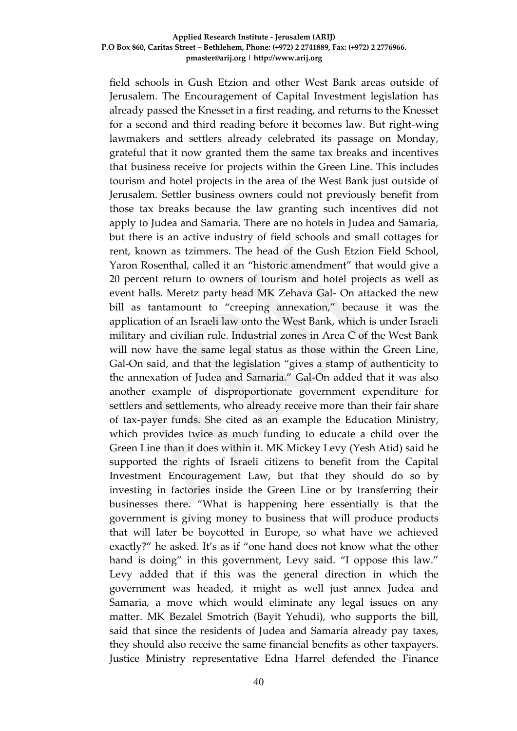field schools in Gush Etzion and other West Bank areas outside of Jerusalem. The Encouragement of Capital Investment legislation has already passed the Knesset in a first reading, and returns to the Knesset for a second and third reading before it becomes law. But right-wing lawmakers and settlers already celebrated its passage on Monday, grateful that it now granted them the same tax breaks and incentives that business receive for projects within the Green Line. This includes tourism and hotel projects in the area of the West Bank just outside of Jerusalem. Settler business owners could not previously benefit from those tax breaks because the law granting such incentives did not apply to Judea and Samaria. There are no hotels in Judea and Samaria, but there is an active industry of field schools and small cottages for rent, known as tzimmers. The head of the Gush Etzion Field School, Yaron Rosenthal, called it an "historic amendment" that would give a 20 percent return to owners of tourism and hotel projects as well as event halls. Meretz party head MK Zehava Gal- On attacked the new bill as tantamount to "creeping annexation," because it was the application of an Israeli law onto the West Bank, which is under Israeli military and civilian rule. Industrial zones in Area C of the West Bank will now have the same legal status as those within the Green Line, Gal-On said, and that the legislation "gives a stamp of authenticity to the annexation of Judea and Samaria." Gal-On added that it was also another example of disproportionate government expenditure for settlers and settlements, who already receive more than their fair share of tax-payer funds. She cited as an example the Education Ministry, which provides twice as much funding to educate a child over the Green Line than it does within it. MK Mickey Levy (Yesh Atid) said he supported the rights of Israeli citizens to benefit from the Capital Investment Encouragement Law, but that they should do so by investing in factories inside the Green Line or by transferring their businesses there. "What is happening here essentially is that the government is giving money to business that will produce products that will later be boycotted in Europe, so what have we achieved exactly?" he asked. It's as if "one hand does not know what the other hand is doing" in this government, Levy said. "I oppose this law." Levy added that if this was the general direction in which the government was headed, it might as well just annex Judea and Samaria, a move which would eliminate any legal issues on any matter. MK Bezalel Smotrich (Bayit Yehudi), who supports the bill, said that since the residents of Judea and Samaria already pay taxes, they should also receive the same financial benefits as other taxpayers. Justice Ministry representative Edna Harrel defended the Finance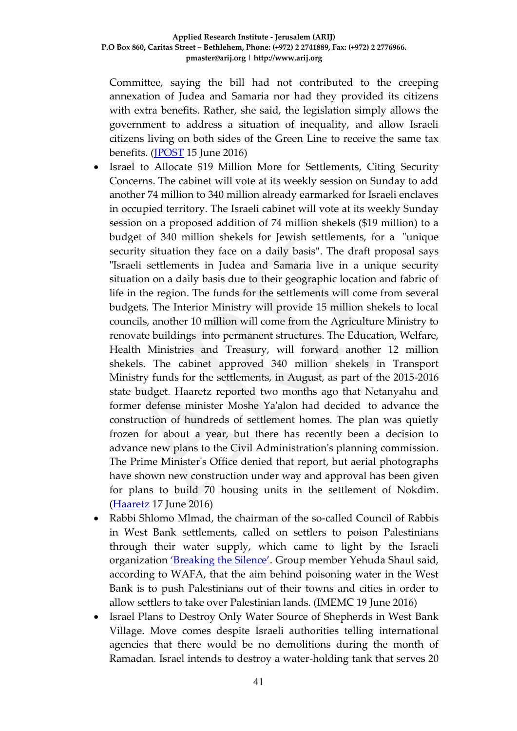Committee, saying the bill had not contributed to the creeping annexation of Judea and Samaria nor had they provided its citizens with extra benefits. Rather, she said, the legislation simply allows the government to address a situation of inequality, and allow Israeli citizens living on both sides of the Green Line to receive the same tax benefits. [\(JPOST](http://www.jpost.com/Israel-News/Politics-And-Diplomacy/Finance-Committee-approves-bill-boosting-settler-business-and-hotels-456669) 15 June 2016)

- Israel to Allocate \$19 Million More for Settlements, Citing Security Concerns. The cabinet will vote at its weekly session on Sunday to add another 74 million to 340 million already earmarked for Israeli enclaves in occupied territory. The Israeli cabinet will vote at its weekly Sunday session on a proposed addition of 74 million shekels (\$19 million) to a budget of 340 million shekels for Jewish settlements, for a "unique security situation they face on a daily basis". The draft proposal says "Israeli settlements in Judea and Samaria live in a unique security situation on a daily basis due to their geographic location and fabric of life in the region. The funds for the settlements will come from several budgets. The Interior Ministry will provide 15 million shekels to local councils, another 10 million will come from the Agriculture Ministry to renovate buildings into permanent structures. The Education, Welfare, Health Ministries and Treasury, will forward another 12 million shekels. The cabinet approved 340 million shekels in Transport Ministry funds for the settlements, in August, as part of the 2015-2016 state budget. Haaretz reported two months ago that Netanyahu and former defense minister Moshe Ya'alon had decided to advance the construction of hundreds of settlement homes. The plan was quietly frozen for about a year, but there has recently been a decision to advance new plans to the Civil Administration's planning commission. The Prime Minister's Office denied that report, but aerial photographs have shown new construction under way and approval has been given for plans to build 70 housing units in the settlement of Nokdim. [\(Haaretz](http://www.haaretz.com/israel-news/1.725425) 17 June 2016)
- Rabbi Shlomo Mlmad, the chairman of the so-called Council of Rabbis in West Bank settlements, called on settlers to poison Palestinians through their water supply, which came to light by the Israeli organization ['Breaking the Silence'](http://imemc.org/?s=Breaking+the+Silence). Group member Yehuda Shaul said, according to WAFA, that the aim behind poisoning water in the West Bank is to push Palestinians out of their towns and cities in order to allow settlers to take over Palestinian lands. (IMEMC 19 June 2016)
- Israel Plans to Destroy Only Water Source of Shepherds in West Bank Village. Move comes despite Israeli authorities telling international agencies that there would be no demolitions during the month of Ramadan. Israel intends to destroy a water-holding tank that serves 20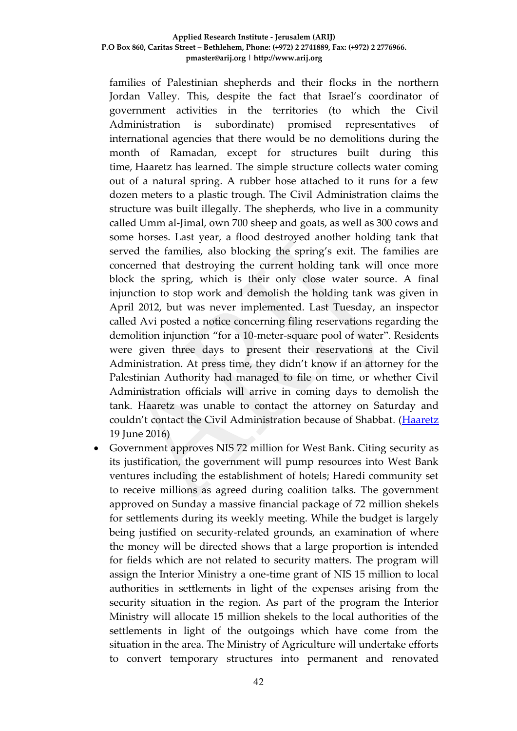families of Palestinian shepherds and their flocks in the northern Jordan Valley. This, despite the fact that Israel's coordinator of government activities in the territories (to which the Civil Administration is subordinate) promised representatives of international agencies that there would be no demolitions during the month of Ramadan, except for structures built during this time, Haaretz has learned. The simple structure collects water coming out of a natural spring. A rubber hose attached to it runs for a few dozen meters to a plastic trough. The Civil Administration claims the structure was built illegally. The shepherds, who live in a community called Umm al-Jimal, own 700 sheep and goats, as well as 300 cows and some horses. Last year, a flood destroyed another holding tank that served the families, also blocking the spring's exit. The families are concerned that destroying the current holding tank will once more block the spring, which is their only close water source. A final injunction to stop work and demolish the holding tank was given in April 2012, but was never implemented. Last Tuesday, an inspector called Avi posted a notice concerning filing reservations regarding the demolition injunction "for a 10-meter-square pool of water". Residents were given three days to present their reservations at the Civil Administration. At press time, they didn't know if an attorney for the Palestinian Authority had managed to file on time, or whether Civil Administration officials will arrive in coming days to demolish the tank. Haaretz was unable to contact the attorney on Saturday and couldn't contact the Civil Administration because of Shabbat. [\(Haaretz](http://www.haaretz.com/israel-news/1.725703) 19 June 2016)

 Government approves NIS 72 million for West Bank. Citing security as its justification, the government will pump resources into West Bank ventures including the establishment of hotels; Haredi community set to receive millions as agreed during coalition talks. The government approved on Sunday a massive financial package of 72 million shekels for settlements during its weekly meeting. While the budget is largely being justified on security-related grounds, an examination of where the money will be directed shows that a large proportion is intended for fields which are not related to security matters. The program will assign the Interior Ministry a one-time grant of NIS 15 million to local authorities in settlements in light of the expenses arising from the security situation in the region. As part of the program the Interior Ministry will allocate 15 million shekels to the local authorities of the settlements in light of the outgoings which have come from the situation in the area. The Ministry of Agriculture will undertake efforts to convert temporary structures into permanent and renovated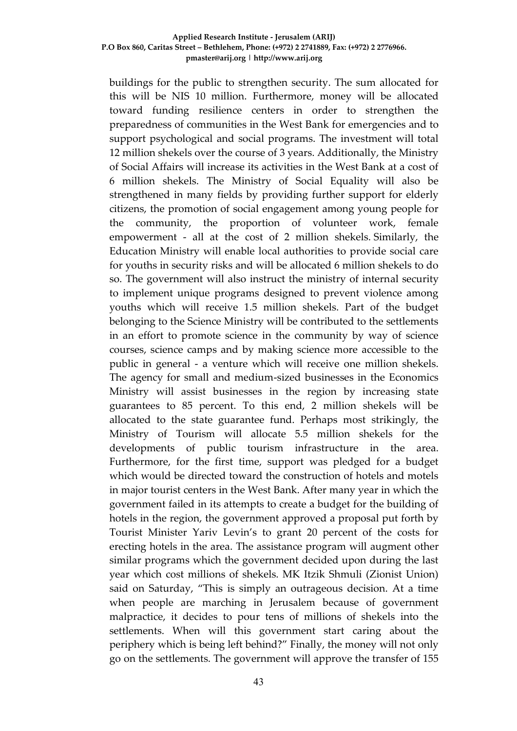buildings for the public to strengthen security. The sum allocated for this will be NIS 10 million. Furthermore, money will be allocated toward funding resilience centers in order to strengthen the preparedness of communities in the West Bank for emergencies and to support psychological and social programs. The investment will total 12 million shekels over the course of 3 years. Additionally, the Ministry of Social Affairs will increase its activities in the West Bank at a cost of 6 million shekels. The Ministry of Social Equality will also be strengthened in many fields by providing further support for elderly citizens, the promotion of social engagement among young people for the community, the proportion of volunteer work, female empowerment - all at the cost of 2 million shekels. Similarly, the Education Ministry will enable local authorities to provide social care for youths in security risks and will be allocated 6 million shekels to do so. The government will also instruct the ministry of internal security to implement unique programs designed to prevent violence among youths which will receive 1.5 million shekels. Part of the budget belonging to the Science Ministry will be contributed to the settlements in an effort to promote science in the community by way of science courses, science camps and by making science more accessible to the public in general - a venture which will receive one million shekels. The agency for small and medium-sized businesses in the Economics Ministry will assist businesses in the region by increasing state guarantees to 85 percent. To this end, 2 million shekels will be allocated to the state guarantee fund. Perhaps most strikingly, the Ministry of Tourism will allocate 5.5 million shekels for the developments of public tourism infrastructure in the area. Furthermore, for the first time, support was pledged for a budget which would be directed toward the construction of hotels and motels in major tourist centers in the West Bank. After many year in which the government failed in its attempts to create a budget for the building of hotels in the region, the government approved a proposal put forth by Tourist Minister Yariv Levin's to grant 20 percent of the costs for erecting hotels in the area. The assistance program will augment other similar programs which the government decided upon during the last year which cost millions of shekels. MK Itzik Shmuli (Zionist Union) said on Saturday, "This is simply an outrageous decision. At a time when people are marching in Jerusalem because of government malpractice, it decides to pour tens of millions of shekels into the settlements. When will this government start caring about the periphery which is being left behind?" Finally, the money will not only go on the settlements. The government will approve the transfer of 155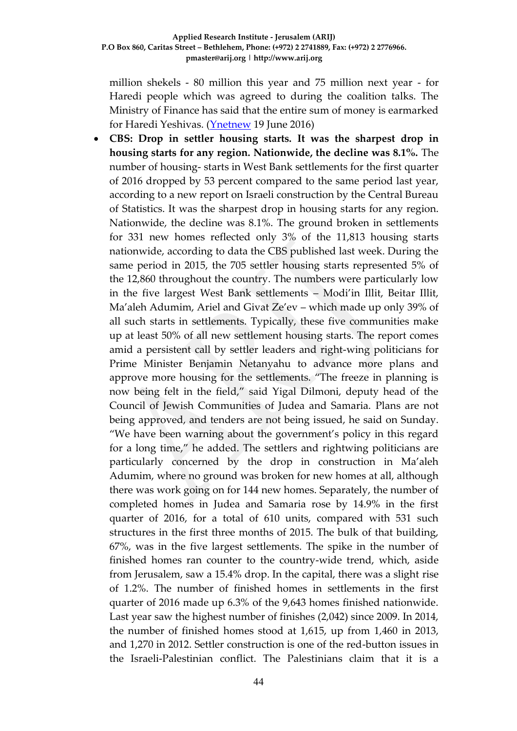million shekels - 80 million this year and 75 million next year - for Haredi people which was agreed to during the coalition talks. The Ministry of Finance has said that the entire sum of money is earmarked for Haredi Yeshivas. [\(Ynetnew](http://www.ynetnews.com/articles/0,7340,L-4817532,00.html) 19 June 2016)

 **CBS: Drop in settler housing starts. It was the sharpest drop in housing starts for any region. Nationwide, the decline was 8.1%.** The number of housing- starts in West Bank settlements for the first quarter of 2016 dropped by 53 percent compared to the same period last year, according to a new report on Israeli construction by the Central Bureau of Statistics. It was the sharpest drop in housing starts for any region. Nationwide, the decline was 8.1%. The ground broken in settlements for 331 new homes reflected only 3% of the 11,813 housing starts nationwide, according to data the CBS published last week. During the same period in 2015, the 705 settler housing starts represented 5% of the 12,860 throughout the country. The numbers were particularly low in the five largest West Bank settlements – Modi'in Illit, Beitar Illit, Ma'aleh Adumim, Ariel and Givat Ze'ev – which made up only 39% of all such starts in settlements. Typically, these five communities make up at least 50% of all new settlement housing starts. The report comes amid a persistent call by settler leaders and right-wing politicians for Prime Minister Benjamin Netanyahu to advance more plans and approve more housing for the settlements. "The freeze in planning is now being felt in the field," said Yigal Dilmoni, deputy head of the Council of Jewish Communities of Judea and Samaria. Plans are not being approved, and tenders are not being issued, he said on Sunday. "We have been warning about the government's policy in this regard for a long time," he added. The settlers and rightwing politicians are particularly concerned by the drop in construction in Ma'aleh Adumim, where no ground was broken for new homes at all, although there was work going on for 144 new homes. Separately, the number of completed homes in Judea and Samaria rose by 14.9% in the first quarter of 2016, for a total of 610 units, compared with 531 such structures in the first three months of 2015. The bulk of that building, 67%, was in the five largest settlements. The spike in the number of finished homes ran counter to the country-wide trend, which, aside from Jerusalem, saw a 15.4% drop. In the capital, there was a slight rise of 1.2%. The number of finished homes in settlements in the first quarter of 2016 made up 6.3% of the 9,643 homes finished nationwide. Last year saw the highest number of finishes (2,042) since 2009. In 2014, the number of finished homes stood at 1,615, up from 1,460 in 2013, and 1,270 in 2012. Settler construction is one of the red-button issues in the Israeli-Palestinian conflict. The Palestinians claim that it is a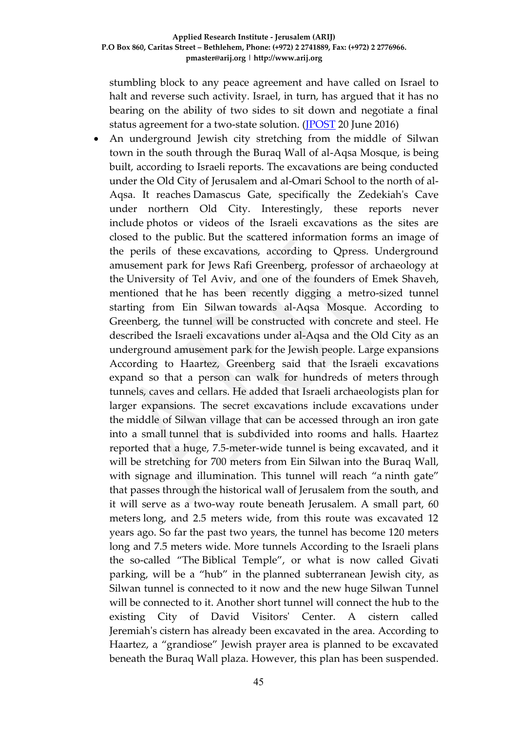stumbling block to any peace agreement and have called on Israel to halt and reverse such activity. Israel, in turn, has argued that it has no bearing on the ability of two sides to sit down and negotiate a final status agreement for a two-state solution. [\(JPOST](http://www.jpost.com/Israel-News/CBS-Drop-in-settler-housing-starts-457223) 20 June 2016)

 An underground Jewish city stretching from the middle of Silwan town in the south through the Buraq Wall of al-Aqsa Mosque, is being built, according to Israeli reports. The excavations are being conducted under the Old City of Jerusalem and al-Omari School to the north of al-Aqsa. It reaches Damascus Gate, specifically the Zedekiah's Cave under northern Old City. Interestingly, these reports never include photos or videos of the Israeli excavations as the sites are closed to the public. But the scattered information forms an image of the perils of these excavations, according to Qpress. Underground amusement park for Jews Rafi Greenberg, professor of archaeology at the University of Tel Aviv, and one of the founders of Emek Shaveh, mentioned that he has been recently digging a metro-sized tunnel starting from Ein Silwan towards al-Aqsa Mosque. According to Greenberg, the tunnel will be constructed with concrete and steel. He described the Israeli excavations under al-Aqsa and the Old City as an underground amusement park for the Jewish people. Large expansions According to Haartez, Greenberg said that the Israeli excavations expand so that a person can walk for hundreds of meters through tunnels, caves and cellars. He added that Israeli archaeologists plan for larger expansions. The secret excavations include excavations under the middle of Silwan village that can be accessed through an iron gate into a small tunnel that is subdivided into rooms and halls. Haartez reported that a huge, 7.5-meter-wide tunnel is being excavated, and it will be stretching for 700 meters from Ein Silwan into the Buraq Wall, with signage and illumination. This tunnel will reach "a ninth gate" that passes through the historical wall of Jerusalem from the south, and it will serve as a two-way route beneath Jerusalem. A small part, 60 meters long, and 2.5 meters wide, from this route was excavated 12 years ago. So far the past two years, the tunnel has become 120 meters long and 7.5 meters wide. More tunnels According to the Israeli plans the so-called "The Biblical Temple", or what is now called Givati parking, will be a "hub" in the planned subterranean Jewish city, as Silwan tunnel is connected to it now and the new huge Silwan Tunnel will be connected to it. Another short tunnel will connect the hub to the existing City of David Visitors' Center. A cistern called Jeremiah's cistern has already been excavated in the area. According to Haartez, a "grandiose" Jewish prayer area is planned to be excavated beneath the Buraq Wall plaza. However, this plan has been suspended.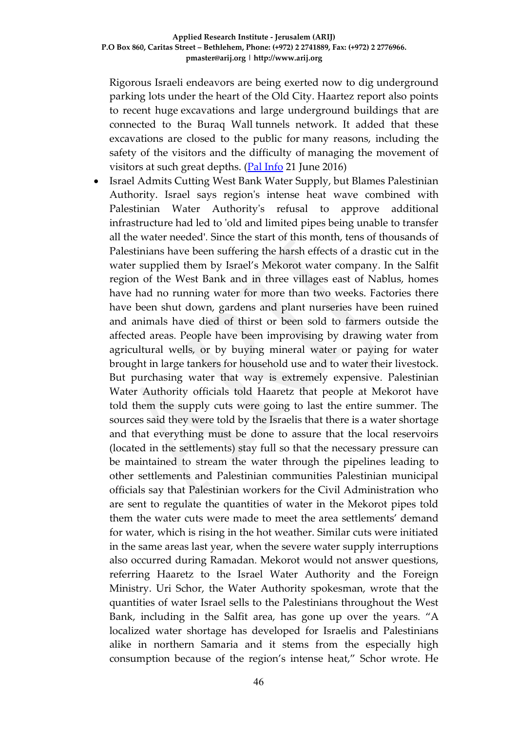Rigorous Israeli endeavors are being exerted now to dig underground parking lots under the heart of the Old City. Haartez report also points to recent huge excavations and large underground buildings that are connected to the Buraq Wall tunnels network. It added that these excavations are closed to the public for many reasons, including the safety of the visitors and the difficulty of managing the movement of visitors at such great depths. [\(Pal Info](http://english.palinfo.com/site/pages/details.aspx?itemid=79227) 21 June 2016)

 Israel Admits Cutting West Bank Water Supply, but Blames Palestinian Authority. Israel says region's intense heat wave combined with Palestinian Water Authority's refusal to approve additional infrastructure had led to 'old and limited pipes being unable to transfer all the water needed'. Since the start of this month, tens of thousands of Palestinians have been suffering the harsh effects of a drastic cut in the water supplied them by Israel's Mekorot water company. In the Salfit region of the West Bank and in three villages east of Nablus, homes have had no running water for more than two weeks. Factories there have been shut down, gardens and plant nurseries have been ruined and animals have died of thirst or been sold to farmers outside the affected areas. People have been improvising by drawing water from agricultural wells, or by buying mineral water or paying for water brought in large tankers for household use and to water their livestock. But purchasing water that way is extremely expensive. Palestinian Water Authority officials told Haaretz that people at Mekorot have told them the supply cuts were going to last the entire summer. The sources said they were told by the Israelis that there is a water shortage and that everything must be done to assure that the local reservoirs (located in the settlements) stay full so that the necessary pressure can be maintained to stream the water through the pipelines leading to other settlements and Palestinian communities Palestinian municipal officials say that Palestinian workers for the Civil Administration who are sent to regulate the quantities of water in the Mekorot pipes told them the water cuts were made to meet the area settlements' demand for water, which is rising in the hot weather. Similar cuts were initiated in the same areas last year, when the severe water supply interruptions also occurred during Ramadan. Mekorot would not answer questions, referring Haaretz to the Israel Water Authority and the Foreign Ministry. Uri Schor, the Water Authority spokesman, wrote that the quantities of water Israel sells to the Palestinians throughout the West Bank, including in the Salfit area, has gone up over the years. "A localized water shortage has developed for Israelis and Palestinians alike in northern Samaria and it stems from the especially high consumption because of the region's intense heat," Schor wrote. He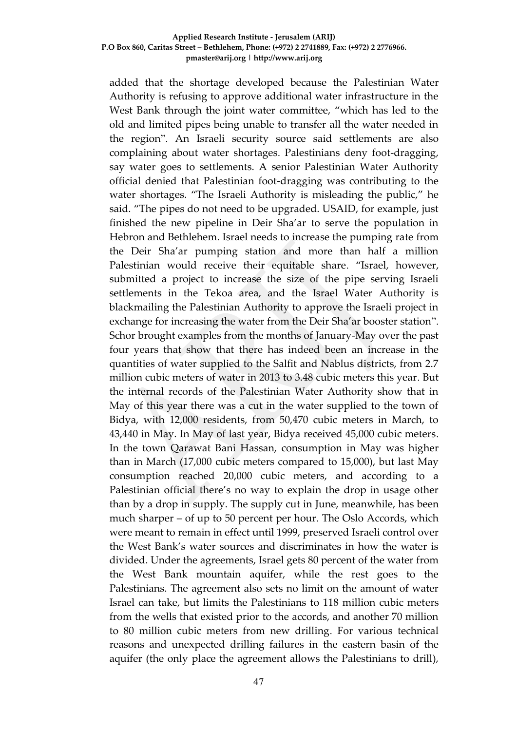added that the shortage developed because the Palestinian Water Authority is refusing to approve additional water infrastructure in the West Bank through the joint water committee, "which has led to the old and limited pipes being unable to transfer all the water needed in the region". An Israeli security source said settlements are also complaining about water shortages. Palestinians deny foot-dragging, say water goes to settlements. A senior Palestinian Water Authority official denied that Palestinian foot-dragging was contributing to the water shortages. "The Israeli Authority is misleading the public," he said. "The pipes do not need to be upgraded. USAID, for example, just finished the new pipeline in Deir Sha'ar to serve the population in Hebron and Bethlehem. Israel needs to increase the pumping rate from the Deir Sha'ar pumping station and more than half a million Palestinian would receive their equitable share. "Israel, however, submitted a project to increase the size of the pipe serving Israeli settlements in the Tekoa area, and the Israel Water Authority is blackmailing the Palestinian Authority to approve the Israeli project in exchange for increasing the water from the Deir Sha'ar booster station". Schor brought examples from the months of January-May over the past four years that show that there has indeed been an increase in the quantities of water supplied to the Salfit and Nablus districts, from 2.7 million cubic meters of water in 2013 to 3.48 cubic meters this year. But the internal records of the Palestinian Water Authority show that in May of this year there was a cut in the water supplied to the town of Bidya, with 12,000 residents, from 50,470 cubic meters in March, to 43,440 in May. In May of last year, Bidya received 45,000 cubic meters. In the town Qarawat Bani Hassan, consumption in May was higher than in March (17,000 cubic meters compared to 15,000), but last May consumption reached 20,000 cubic meters, and according to a Palestinian official there's no way to explain the drop in usage other than by a drop in supply. The supply cut in June, meanwhile, has been much sharper – of up to 50 percent per hour. The Oslo Accords, which were meant to remain in effect until 1999, preserved Israeli control over the West Bank's water sources and discriminates in how the water is divided. Under the agreements, Israel gets 80 percent of the water from the West Bank mountain aquifer, while the rest goes to the Palestinians. The agreement also sets no limit on the amount of water Israel can take, but limits the Palestinians to 118 million cubic meters from the wells that existed prior to the accords, and another 70 million to 80 million cubic meters from new drilling. For various technical reasons and unexpected drilling failures in the eastern basin of the aquifer (the only place the agreement allows the Palestinians to drill),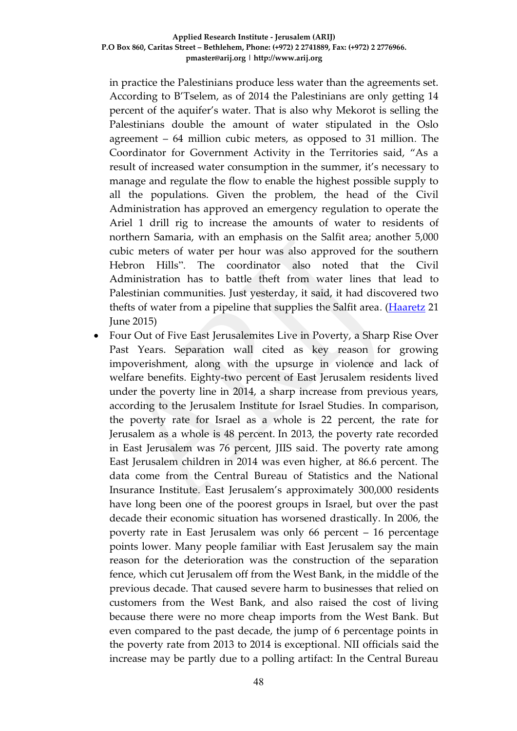in practice the Palestinians produce less water than the agreements set. According to B'Tselem, as of 2014 the Palestinians are only getting 14 percent of the aquifer's water. That is also why Mekorot is selling the Palestinians double the amount of water stipulated in the Oslo agreement – 64 million cubic meters, as opposed to 31 million. The Coordinator for Government Activity in the Territories said, "As a result of increased water consumption in the summer, it's necessary to manage and regulate the flow to enable the highest possible supply to all the populations. Given the problem, the head of the Civil Administration has approved an emergency regulation to operate the Ariel 1 drill rig to increase the amounts of water to residents of northern Samaria, with an emphasis on the Salfit area; another 5,000 cubic meters of water per hour was also approved for the southern Hebron Hills". The coordinator also noted that the Civil Administration has to battle theft from water lines that lead to Palestinian communities. Just yesterday, it said, it had discovered two thefts of water from a pipeline that supplies the Salfit area. [\(Haaretz](http://www.haaretz.com/israel-news/1.726132?utm_content=%24sections%2F1.726132&utm_medium=email&utm_source=smartfocus&utm_campaign=newsletter-daily&utm_term=20160621-09%3A06) 21 June 2015)

 Four Out of Five East Jerusalemites Live in Poverty, a Sharp Rise Over Past Years. Separation wall cited as key reason for growing impoverishment, along with the upsurge in violence and lack of welfare benefits. Eighty-two percent of East Jerusalem residents lived under the poverty line in 2014, a sharp increase from previous years, according to the Jerusalem Institute for Israel Studies. In comparison, the poverty rate for Israel as a whole is 22 percent, the rate for Jerusalem as a whole is 48 percent. In 2013, the poverty rate recorded in East Jerusalem was 76 percent, JIIS said. The poverty rate among East Jerusalem children in 2014 was even higher, at 86.6 percent. The data come from the Central Bureau of Statistics and the National Insurance Institute. East Jerusalem's approximately 300,000 residents have long been one of the poorest groups in Israel, but over the past decade their economic situation has worsened drastically. In 2006, the poverty rate in East Jerusalem was only 66 percent – 16 percentage points lower. Many people familiar with East Jerusalem say the main reason for the deterioration was the construction of the separation fence, which cut Jerusalem off from the West Bank, in the middle of the previous decade. That caused severe harm to businesses that relied on customers from the West Bank, and also raised the cost of living because there were no more cheap imports from the West Bank. But even compared to the past decade, the jump of 6 percentage points in the poverty rate from 2013 to 2014 is exceptional. NII officials said the increase may be partly due to a polling artifact: In the Central Bureau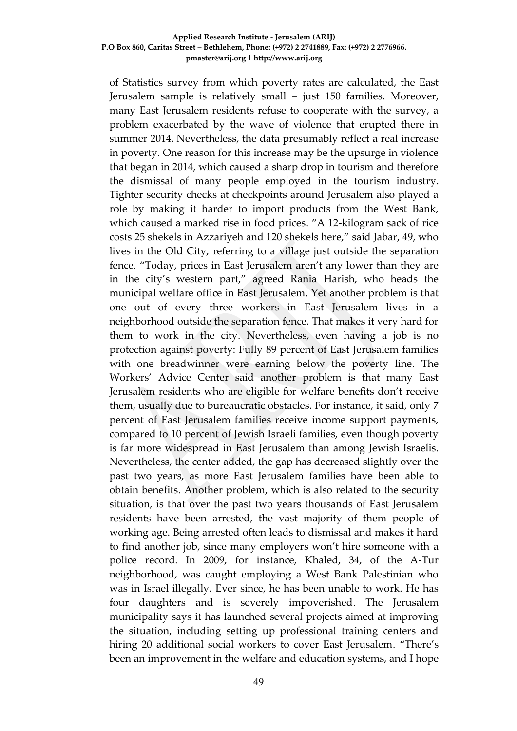of Statistics survey from which poverty rates are calculated, the East Jerusalem sample is relatively small – just 150 families. Moreover, many East Jerusalem residents refuse to cooperate with the survey, a problem exacerbated by the wave of violence that erupted there in summer 2014. Nevertheless, the data presumably reflect a real increase in poverty. One reason for this increase may be the upsurge in violence that began in 2014, which caused a sharp drop in tourism and therefore the dismissal of many people employed in the tourism industry. Tighter security checks at checkpoints around Jerusalem also played a role by making it harder to import products from the West Bank, which caused a marked rise in food prices. "A 12-kilogram sack of rice costs 25 shekels in Azzariyeh and 120 shekels here," said Jabar, 49, who lives in the Old City, referring to a village just outside the separation fence. "Today, prices in East Jerusalem aren't any lower than they are in the city's western part," agreed Rania Harish, who heads the municipal welfare office in East Jerusalem. Yet another problem is that one out of every three workers in East Jerusalem lives in a neighborhood outside the separation fence. That makes it very hard for them to work in the city. Nevertheless, even having a job is no protection against poverty: Fully 89 percent of East Jerusalem families with one breadwinner were earning below the poverty line. The Workers' Advice Center said another problem is that many East Jerusalem residents who are eligible for welfare benefits don't receive them, usually due to bureaucratic obstacles. For instance, it said, only 7 percent of East Jerusalem families receive income support payments, compared to 10 percent of Jewish Israeli families, even though poverty is far more widespread in East Jerusalem than among Jewish Israelis. Nevertheless, the center added, the gap has decreased slightly over the past two years, as more East Jerusalem families have been able to obtain benefits. Another problem, which is also related to the security situation, is that over the past two years thousands of East Jerusalem residents have been arrested, the vast majority of them people of working age. Being arrested often leads to dismissal and makes it hard to find another job, since many employers won't hire someone with a police record. In 2009, for instance, Khaled, 34, of the A-Tur neighborhood, was caught employing a West Bank Palestinian who was in Israel illegally. Ever since, he has been unable to work. He has four daughters and is severely impoverished. The Jerusalem municipality says it has launched several projects aimed at improving the situation, including setting up professional training centers and hiring 20 additional social workers to cover East Jerusalem. "There's been an improvement in the welfare and education systems, and I hope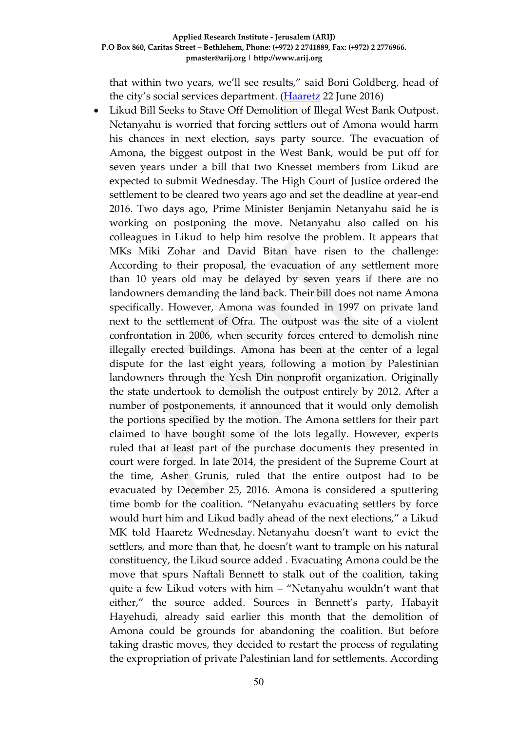that within two years, we'll see results," said Boni Goldberg, head of the city's social services department. [\(Haaretz](http://www.haaretz.com/israel-news/.premium-1.726357?date=1466662045000&ts=_1466662070575?date=1466662137073) 22 June 2016)

 Likud Bill Seeks to Stave Off Demolition of Illegal West Bank Outpost. Netanyahu is worried that forcing settlers out of Amona would harm his chances in next election, says party source. The evacuation of Amona, the biggest outpost in the West Bank, would be put off for seven years under a bill that two Knesset members from Likud are expected to submit Wednesday. The High Court of Justice ordered the settlement to be cleared two years ago and set the deadline at year-end 2016. Two days ago, Prime Minister Benjamin Netanyahu said he is working on postponing the move. Netanyahu also called on his colleagues in Likud to help him resolve the problem. It appears that MKs Miki Zohar and David Bitan have risen to the challenge: According to their proposal, the evacuation of any settlement more than 10 years old may be delayed by seven years if there are no landowners demanding the land back. Their bill does not name Amona specifically. However, Amona was founded in 1997 on private land next to the settlement of Ofra. The outpost was the site of a violent confrontation in 2006, when security forces entered to demolish nine illegally erected buildings. Amona has been at the center of a legal dispute for the last eight years, following a motion by Palestinian landowners through the Yesh Din nonprofit organization. Originally the state undertook to demolish the outpost entirely by 2012. After a number of postponements, it announced that it would only demolish the portions specified by the motion. The Amona settlers for their part claimed to have bought some of the lots legally. However, experts ruled that at least part of the purchase documents they presented in court were forged. In late 2014, the president of the Supreme Court at the time, Asher Grunis, ruled that the entire outpost had to be evacuated by December 25, 2016. Amona is considered a sputtering time bomb for the coalition. "Netanyahu evacuating settlers by force would hurt him and Likud badly ahead of the next elections," a Likud MK told Haaretz Wednesday. Netanyahu doesn't want to evict the settlers, and more than that, he doesn't want to trample on his natural constituency, the Likud source added . Evacuating Amona could be the move that spurs Naftali Bennett to stalk out of the coalition, taking quite a few Likud voters with him – "Netanyahu wouldn't want that either," the source added. Sources in Bennett's party, Habayit Hayehudi, already said earlier this month that the demolition of Amona could be grounds for abandoning the coalition. But before taking drastic moves, they decided to restart the process of regulating the expropriation of private Palestinian land for settlements. According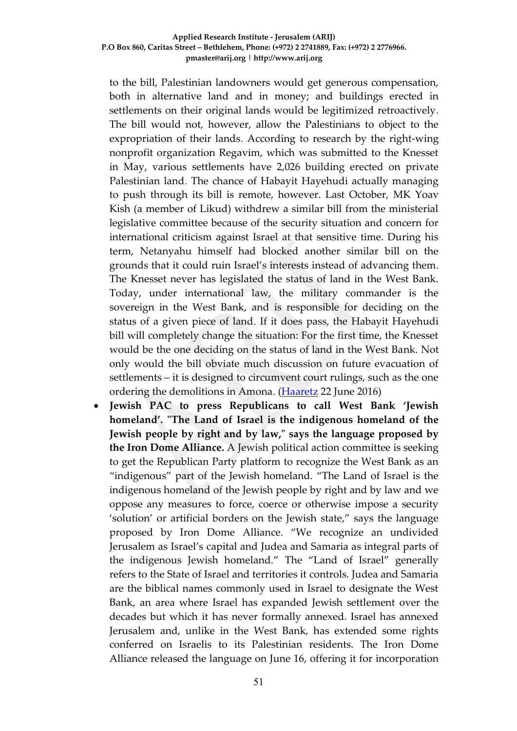to the bill, Palestinian landowners would get generous compensation, both in alternative land and in money; and buildings erected in settlements on their original lands would be legitimized retroactively. The bill would not, however, allow the Palestinians to object to the expropriation of their lands. According to research by the right-wing nonprofit organization Regavim, which was submitted to the Knesset in May, various settlements have 2,026 building erected on private Palestinian land. The chance of Habayit Hayehudi actually managing to push through its bill is remote, however. Last October, MK Yoav Kish (a member of Likud) withdrew a similar bill from the ministerial legislative committee because of the security situation and concern for international criticism against Israel at that sensitive time. During his term, Netanyahu himself had blocked another similar bill on the grounds that it could ruin Israel's interests instead of advancing them. The Knesset never has legislated the status of land in the West Bank. Today, under international law, the military commander is the sovereign in the West Bank, and is responsible for deciding on the status of a given piece of land. If it does pass, the Habayit Hayehudi bill will completely change the situation: For the first time, the Knesset would be the one deciding on the status of land in the West Bank. Not only would the bill obviate much discussion on future evacuation of settlements – it is designed to circumvent court rulings, such as the one ordering the demolitions in Amona. [\(Haaretz](http://www.haaretz.com/israel-news/.premium-1.726415) 22 June 2016)

 **Jewish PAC to press Republicans to call West Bank 'Jewish homeland'. "The Land of Israel is the indigenous homeland of the Jewish people by right and by law," says the language proposed by the Iron Dome Alliance.** A Jewish political action committee is seeking to get the Republican Party platform to recognize the West Bank as an "indigenous" part of the Jewish homeland. "The Land of Israel is the indigenous homeland of the Jewish people by right and by law and we oppose any measures to force, coerce or otherwise impose a security 'solution' or artificial borders on the Jewish state," says the language proposed by Iron Dome Alliance. "We recognize an undivided Jerusalem as Israel's capital and Judea and Samaria as integral parts of the indigenous Jewish homeland." The "Land of Israel" generally refers to the State of Israel and territories it controls. Judea and Samaria are the biblical names commonly used in Israel to designate the West Bank, an area where Israel has expanded Jewish settlement over the decades but which it has never formally annexed. Israel has annexed Jerusalem and, unlike in the West Bank, has extended some rights conferred on Israelis to its Palestinian residents. The Iron Dome Alliance released the language on June 16, offering it for incorporation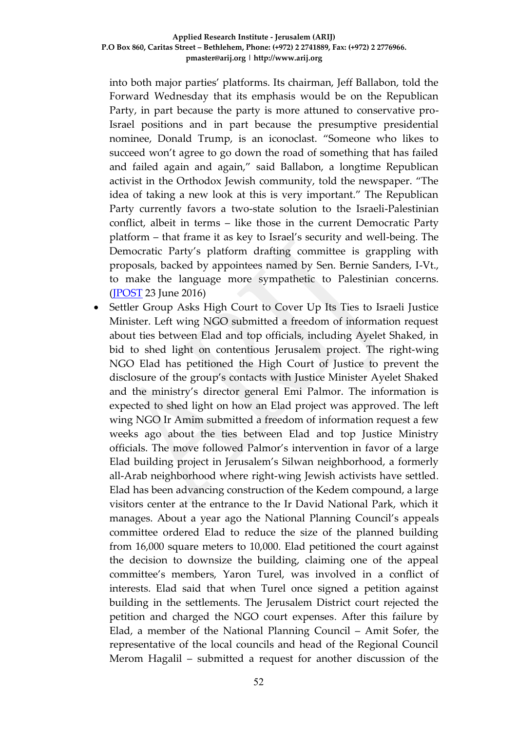into both major parties' platforms. Its chairman, Jeff Ballabon, told the Forward Wednesday that its emphasis would be on the Republican Party, in part because the party is more attuned to conservative pro-Israel positions and in part because the presumptive presidential nominee, Donald Trump, is an iconoclast. "Someone who likes to succeed won't agree to go down the road of something that has failed and failed again and again," said Ballabon, a longtime Republican activist in the Orthodox Jewish community, told the newspaper. "The idea of taking a new look at this is very important." The Republican Party currently favors a two-state solution to the Israeli-Palestinian conflict, albeit in terms – like those in the current Democratic Party platform – that frame it as key to Israel's security and well-being. The Democratic Party's platform drafting committee is grappling with proposals, backed by appointees named by Sen. Bernie Sanders, I-Vt., to make the language more sympathetic to Palestinian concerns. [\(JPOST](http://www.jpost.com/Israel-News/Politics-And-Diplomacy/Jewish-PAC-to-press-Republicans-to-call-West-Bank-Jewish-homeland-457531) 23 June 2016)

• Settler Group Asks High Court to Cover Up Its Ties to Israeli Justice Minister. Left wing NGO submitted a freedom of information request about ties between Elad and top officials, including Ayelet Shaked, in bid to shed light on contentious Jerusalem project. The right-wing NGO Elad has petitioned the High Court of Justice to prevent the disclosure of the group's contacts with Justice Minister Ayelet Shaked and the ministry's director general Emi Palmor. The information is expected to shed light on how an Elad project was approved. The left wing NGO Ir Amim submitted a freedom of information request a few weeks ago about the ties between Elad and top Justice Ministry officials. The move followed Palmor's intervention in favor of a large Elad building project in Jerusalem's Silwan neighborhood, a formerly all-Arab neighborhood where right-wing Jewish activists have settled. Elad has been advancing construction of the Kedem compound, a large visitors center at the entrance to the Ir David National Park, which it manages. About a year ago the National Planning Council's appeals committee ordered Elad to reduce the size of the planned building from 16,000 square meters to 10,000. Elad petitioned the court against the decision to downsize the building, claiming one of the appeal committee's members, Yaron Turel, was involved in a conflict of interests. Elad said that when Turel once signed a petition against building in the settlements. The Jerusalem District court rejected the petition and charged the NGO court expenses. After this failure by Elad, a member of the National Planning Council – Amit Sofer, the representative of the local councils and head of the Regional Council Merom Hagalil – submitted a request for another discussion of the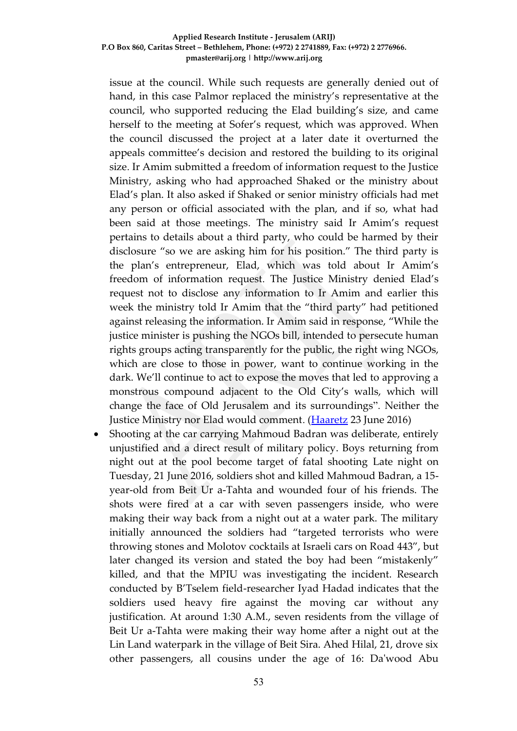issue at the council. While such requests are generally denied out of hand, in this case Palmor replaced the ministry's representative at the council, who supported reducing the Elad building's size, and came herself to the meeting at Sofer's request, which was approved. When the council discussed the project at a later date it overturned the appeals committee's decision and restored the building to its original size. Ir Amim submitted a freedom of information request to the Justice Ministry, asking who had approached Shaked or the ministry about Elad's plan. It also asked if Shaked or senior ministry officials had met any person or official associated with the plan, and if so, what had been said at those meetings. The ministry said Ir Amim's request pertains to details about a third party, who could be harmed by their disclosure "so we are asking him for his position." The third party is the plan's entrepreneur, Elad, which was told about Ir Amim's freedom of information request. The Justice Ministry denied Elad's request not to disclose any information to Ir Amim and earlier this week the ministry told Ir Amim that the "third party" had petitioned against releasing the information. Ir Amim said in response, "While the justice minister is pushing the NGOs bill, intended to persecute human rights groups acting transparently for the public, the right wing NGOs, which are close to those in power, want to continue working in the dark. We'll continue to act to expose the moves that led to approving a monstrous compound adjacent to the Old City's walls, which will change the face of Old Jerusalem and its surroundings". Neither the Justice Ministry nor Elad would comment. [\(Haaretz](http://www.haaretz.com/israel-news/.premium-1.726586) 23 June 2016)

• Shooting at the car carrying Mahmoud Badran was deliberate, entirely unjustified and a direct result of military policy. Boys returning from night out at the pool become target of fatal shooting Late night on Tuesday, 21 June 2016, soldiers shot and killed Mahmoud Badran, a 15 year-old from Beit Ur a-Tahta and wounded four of his friends. The shots were fired at a car with seven passengers inside, who were making their way back from a night out at a water park. The military initially announced the soldiers had "targeted terrorists who were throwing stones and Molotov cocktails at Israeli cars on Road 443", but later changed its version and stated the boy had been "mistakenly" killed, and that the MPIU was investigating the incident. Research conducted by B'Tselem field-researcher Iyad Hadad indicates that the soldiers used heavy fire against the moving car without any justification. At around 1:30 A.M., seven residents from the village of Beit Ur a-Tahta were making their way home after a night out at the Lin Land waterpark in the village of Beit Sira. Ahed Hilal, 21, drove six other passengers, all cousins under the age of 16: Da'wood Abu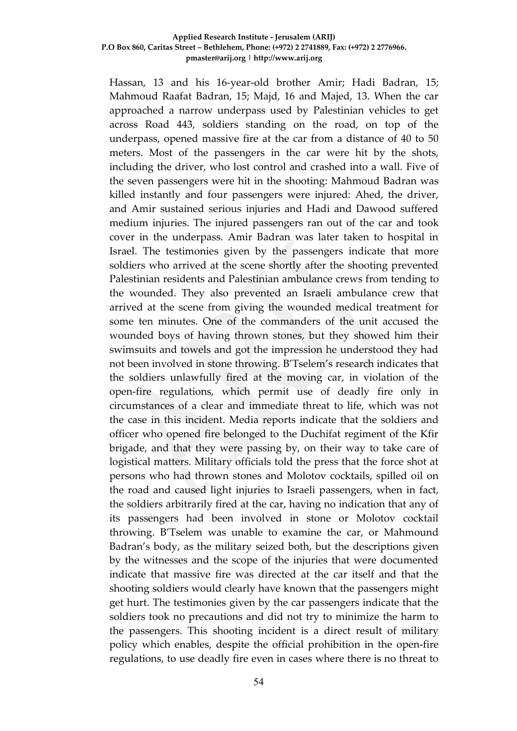Hassan, 13 and his 16-year-old brother Amir; Hadi Badran, 15; Mahmoud Raafat Badran, 15; Majd, 16 and Majed, 13. When the car approached a narrow underpass used by Palestinian vehicles to get across Road 443, soldiers standing on the road, on top of the underpass, opened massive fire at the car from a distance of 40 to 50 meters. Most of the passengers in the car were hit by the shots, including the driver, who lost control and crashed into a wall. Five of the seven passengers were hit in the shooting: Mahmoud Badran was killed instantly and four passengers were injured: Ahed, the driver, and Amir sustained serious injuries and Hadi and Dawood suffered medium injuries. The injured passengers ran out of the car and took cover in the underpass. Amir Badran was later taken to hospital in Israel. The testimonies given by the passengers indicate that more soldiers who arrived at the scene shortly after the shooting prevented Palestinian residents and Palestinian ambulance crews from tending to the wounded. They also prevented an Israeli ambulance crew that arrived at the scene from giving the wounded medical treatment for some ten minutes. One of the commanders of the unit accused the wounded boys of having thrown stones, but they showed him their swimsuits and towels and got the impression he understood they had not been involved in stone throwing. B'Tselem's research indicates that the soldiers unlawfully fired at the moving car, in violation of the open-fire regulations, which permit use of deadly fire only in circumstances of a clear and immediate threat to life, which was not the case in this incident. Media reports indicate that the soldiers and officer who opened fire belonged to the Duchifat regiment of the Kfir brigade, and that they were passing by, on their way to take care of logistical matters. Military officials told the press that the force shot at persons who had thrown stones and Molotov cocktails, spilled oil on the road and caused light injuries to Israeli passengers, when in fact, the soldiers arbitrarily fired at the car, having no indication that any of its passengers had been involved in stone or Molotov cocktail throwing. B'Tselem was unable to examine the car, or Mahmound Badran's body, as the military seized both, but the descriptions given by the witnesses and the scope of the injuries that were documented indicate that massive fire was directed at the car itself and that the shooting soldiers would clearly have known that the passengers might get hurt. The testimonies given by the car passengers indicate that the soldiers took no precautions and did not try to minimize the harm to the passengers. This shooting incident is a direct result of military policy which enables, despite the official prohibition in the open-fire regulations, to use deadly fire even in cases where there is no threat to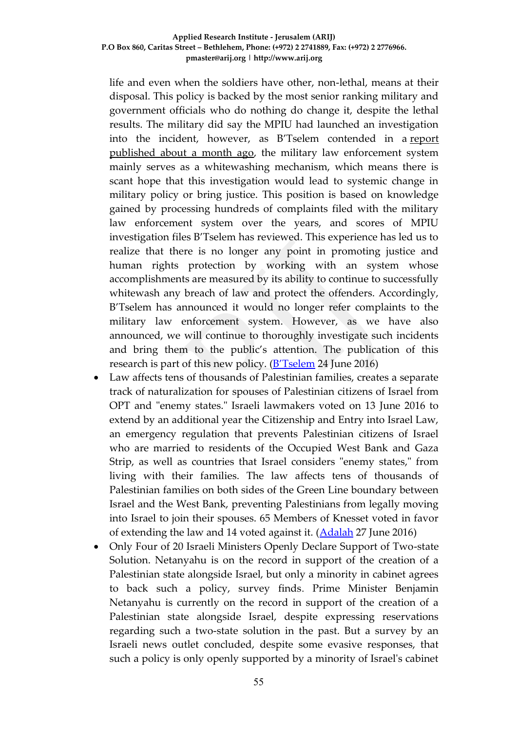life and even when the soldiers have other, non-lethal, means at their disposal. This policy is backed by the most senior ranking military and government officials who do nothing do change it, despite the lethal results. The military did say the MPIU had launched an investigation into the incident, however, as B'Tselem contended in a [report](http://www.btselem.org/publications/summaries/201605_occupations_fig_leaf)  [published about a month ago,](http://www.btselem.org/publications/summaries/201605_occupations_fig_leaf) the military law enforcement system mainly serves as a whitewashing mechanism, which means there is scant hope that this investigation would lead to systemic change in military policy or bring justice. This position is based on knowledge gained by processing hundreds of complaints filed with the military law enforcement system over the years, and scores of MPIU investigation files B'Tselem has reviewed. This experience has led us to realize that there is no longer any point in promoting justice and human rights protection by working with an system whose accomplishments are measured by its ability to continue to successfully whitewash any breach of law and protect the offenders. Accordingly, B'Tselem has announced it would no longer refer complaints to the military law enforcement system. However, as we have also announced, we will continue to thoroughly investigate such incidents and bring them to the public's attention. The publication of this research is part of this new policy. (**[B'Tselem](http://www.btselem.org/press_releases/20160622_killing_of_mahmoud_badran)** 24 June 2016)

- Law affects tens of thousands of Palestinian families, creates a separate track of naturalization for spouses of Palestinian citizens of Israel from OPT and "enemy states." Israeli lawmakers voted on 13 June 2016 to extend by an additional year the Citizenship and Entry into Israel Law, an emergency regulation that prevents Palestinian citizens of Israel who are married to residents of the Occupied West Bank and Gaza Strip, as well as countries that Israel considers "enemy states," from living with their families. The law affects tens of thousands of Palestinian families on both sides of the Green Line boundary between Israel and the West Bank, preventing Palestinians from legally moving into Israel to join their spouses. 65 Members of Knesset voted in favor of extending the law and 14 voted against it. [\(Adalah](http://www.adalah.org/en/content/view/8831) 27 June 2016)
- Only Four of 20 Israeli Ministers Openly Declare Support of Two-state Solution. Netanyahu is on the record in support of the creation of a Palestinian state alongside Israel, but only a minority in cabinet agrees to back such a policy, survey finds. Prime Minister Benjamin Netanyahu is currently on the record in support of the creation of a Palestinian state alongside Israel, despite expressing reservations regarding such a two-state solution in the past. But a survey by an Israeli news outlet concluded, despite some evasive responses, that such a policy is only openly supported by a minority of Israel's cabinet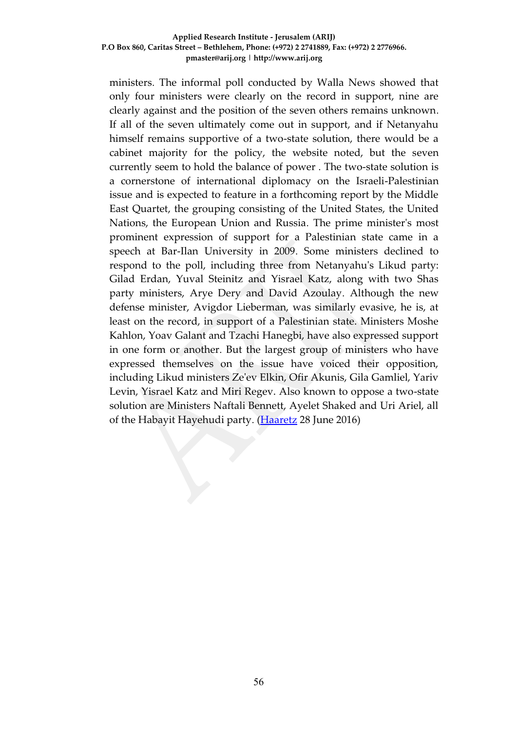ministers. The informal poll conducted by Walla News showed that only four ministers were clearly on the record in support, nine are clearly against and the position of the seven others remains unknown. If all of the seven ultimately come out in support, and if Netanyahu himself remains supportive of a two-state solution, there would be a cabinet majority for the policy, the website noted, but the seven currently seem to hold the balance of power . The two-state solution is a cornerstone of international diplomacy on the Israeli-Palestinian issue and is expected to feature in a forthcoming report by the Middle East Quartet, the grouping consisting of the United States, the United Nations, the European Union and Russia. The prime minister's most prominent expression of support for a Palestinian state came in a speech at Bar-Ilan University in 2009. Some ministers declined to respond to the poll, including three from Netanyahu's Likud party: Gilad Erdan, Yuval Steinitz and Yisrael Katz, along with two Shas party ministers, Arye Dery and David Azoulay. Although the new defense minister, Avigdor Lieberman, was similarly evasive, he is, at least on the record, in support of a Palestinian state. Ministers Moshe Kahlon, Yoav Galant and Tzachi Hanegbi, have also expressed support in one form or another. But the largest group of ministers who have expressed themselves on the issue have voiced their opposition, including Likud ministers Ze'ev Elkin, Ofir Akunis, Gila Gamliel, Yariv Levin, Yisrael Katz and Miri Regev. Also known to oppose a two-state solution are Ministers Naftali Bennett, Ayelet Shaked and Uri Ariel, all of the Habayit Hayehudi party. [\(Haaretz](http://www.haaretz.com/israel-news/1.727431) 28 June 2016)